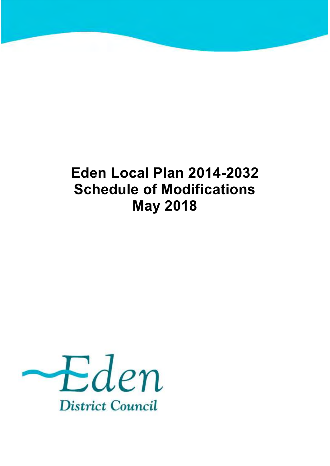# **Eden Local Plan 2014-2032 Schedule of Modifications May 2018**

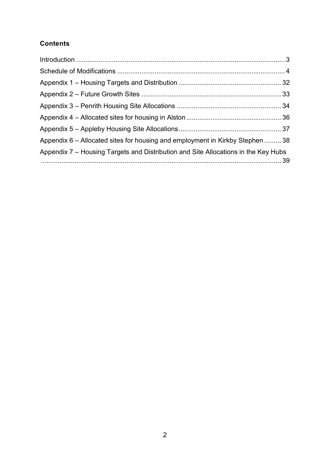#### **Contents**

| Appendix 6 – Allocated sites for housing and employment in Kirkby Stephen  38      |  |
|------------------------------------------------------------------------------------|--|
| Appendix 7 – Housing Targets and Distribution and Site Allocations in the Key Hubs |  |
|                                                                                    |  |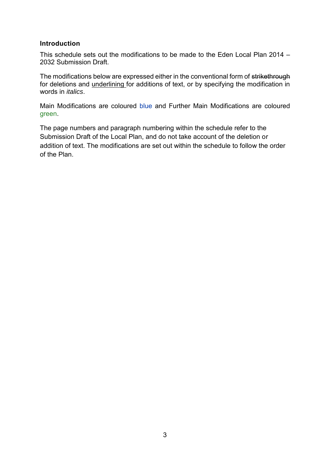#### <span id="page-2-0"></span>**Introduction**

This schedule sets out the modifications to be made to the Eden Local Plan 2014 – 2032 Submission Draft.

The modifications below are expressed either in the conventional form of strikethrough for deletions and underlining for additions of text, or by specifying the modification in words in *italics*.

Main Modifications are coloured blue and Further Main Modifications are coloured green.

The page numbers and paragraph numbering within the schedule refer to the Submission Draft of the Local Plan, and do not take account of the deletion or addition of text. The modifications are set out within the schedule to follow the order of the Plan.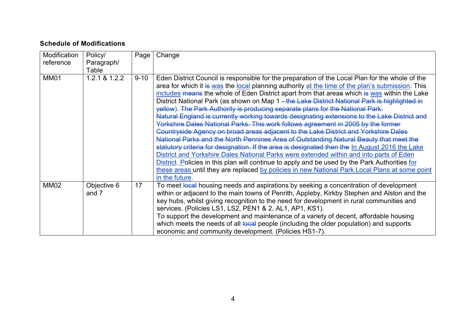#### **Schedule of Modifications**

<span id="page-3-0"></span>

| Modification | Policy/       | Page     | Change                                                                                           |
|--------------|---------------|----------|--------------------------------------------------------------------------------------------------|
| reference    | Paragraph/    |          |                                                                                                  |
|              | Table         |          |                                                                                                  |
| <b>MM01</b>  | 1.2.1 & 1.2.2 | $9 - 10$ | Eden District Council is responsible for the preparation of the Local Plan for the whole of the  |
|              |               |          | area for which it is was the local planning authority at the time of the plan's submission. This |
|              |               |          | includes means the whole of Eden District apart from that areas which is was within the Lake     |
|              |               |          | District National Park (as shown on Map 1 - the Lake District National Park is highlighted in    |
|              |               |          | yellow). The Park Authority is producing separate plans for the National Park.                   |
|              |               |          | Natural England is currently working towards designating extensions to the Lake District and     |
|              |               |          | Yorkshire Dales National Parks. This work follows agreement in 2005 by the former                |
|              |               |          | Countryside Agency on broad areas adjacent to the Lake District and Yorkshire Dales              |
|              |               |          | National Parks and the North Pennines Area of Outstanding Natural Beauty that meet the           |
|              |               |          | statutory criteria for designation. If the area is designated then the In August 2016 the Lake   |
|              |               |          | District and Yorkshire Dales National Parks were extended within and into parts of Eden          |
|              |               |          | District. Policies in this plan will continue to apply and be used by the Park Authorities for   |
|              |               |          | these areas until they are replaced by policies in new National Park Local Plans at some point   |
|              |               |          | in the future.                                                                                   |
| <b>MM02</b>  | Objective 6   | 17       | To meet local housing needs and aspirations by seeking a concentration of development            |
|              | and 7         |          | within or adjacent to the main towns of Penrith, Appleby, Kirkby Stephen and Alston and the      |
|              |               |          | key hubs, whilst giving recognition to the need for development in rural communities and         |
|              |               |          | services. (Policies LS1, LS2, PEN1 & 2, AL1, AP1, KS1).                                          |
|              |               |          | To support the development and maintenance of a variety of decent, affordable housing            |
|              |               |          | which meets the needs of all local people (including the older population) and supports          |
|              |               |          | economic and community development. (Policies HS1-7).                                            |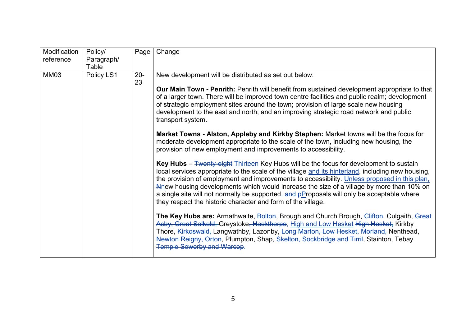| Modification | Policy/    | Page         | Change                                                                                                                                                                                                                                                                                                                                                                                                                                                                                                                                                                                       |
|--------------|------------|--------------|----------------------------------------------------------------------------------------------------------------------------------------------------------------------------------------------------------------------------------------------------------------------------------------------------------------------------------------------------------------------------------------------------------------------------------------------------------------------------------------------------------------------------------------------------------------------------------------------|
| reference    | Paragraph/ |              |                                                                                                                                                                                                                                                                                                                                                                                                                                                                                                                                                                                              |
|              | Table      |              |                                                                                                                                                                                                                                                                                                                                                                                                                                                                                                                                                                                              |
| <b>MM03</b>  | Policy LS1 | $20 -$<br>23 | New development will be distributed as set out below:<br><b>Our Main Town - Penrith:</b> Penrith will benefit from sustained development appropriate to that                                                                                                                                                                                                                                                                                                                                                                                                                                 |
|              |            |              | of a larger town. There will be improved town centre facilities and public realm; development<br>of strategic employment sites around the town; provision of large scale new housing<br>development to the east and north; and an improving strategic road network and public<br>transport system.                                                                                                                                                                                                                                                                                           |
|              |            |              | Market Towns - Alston, Appleby and Kirkby Stephen: Market towns will be the focus for<br>moderate development appropriate to the scale of the town, including new housing, the<br>provision of new employment and improvements to accessibility.                                                                                                                                                                                                                                                                                                                                             |
|              |            |              | <b>Key Hubs</b> – $\frac{F_{\text{Wenty}}}{F_{\text{Wenty}}}$ Thirteen Key Hubs will be the focus for development to sustain<br>local services appropriate to the scale of the village and its hinterland, including new housing,<br>the provision of employment and improvements to accessibility. Unless proposed in this plan,<br>Alnew housing developments which would increase the size of a village by more than 10% on<br>a single site will not normally be supported. and pProposals will only be acceptable where<br>they respect the historic character and form of the village. |
|              |            |              | The Key Hubs are: Armathwaite, Bolton, Brough and Church Brough, Clifton, Culgaith, Great<br>Asby, Great Salkeld, Greystoke, Hackthorpe, High and Low Hesket High Hesket, Kirkby<br>Thore, Kirkoswald, Langwathby, Lazonby, Long Marton, Low Hesket, Morland, Nenthead,<br>Newton Reigny, Orton, Plumpton, Shap, Skelton, Sockbridge and Tirril, Stainton, Tebay<br><b>Temple Sowerby and Warcop.</b>                                                                                                                                                                                        |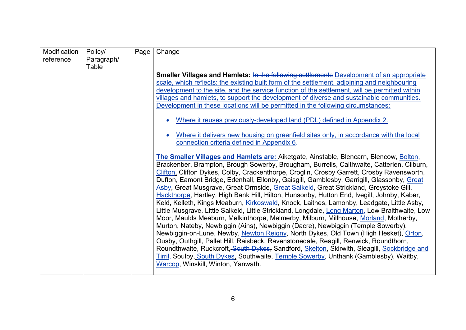| Modification<br>reference | Policy/             | Page | Change                                                                                                                                                                                                                                                                                                                                                                                                                                                                                                                                                                                                                                                                                                                                                                                                                                                                                                                                                                                                                                                                                                                                                                                                                                                                                                                                                            |
|---------------------------|---------------------|------|-------------------------------------------------------------------------------------------------------------------------------------------------------------------------------------------------------------------------------------------------------------------------------------------------------------------------------------------------------------------------------------------------------------------------------------------------------------------------------------------------------------------------------------------------------------------------------------------------------------------------------------------------------------------------------------------------------------------------------------------------------------------------------------------------------------------------------------------------------------------------------------------------------------------------------------------------------------------------------------------------------------------------------------------------------------------------------------------------------------------------------------------------------------------------------------------------------------------------------------------------------------------------------------------------------------------------------------------------------------------|
|                           | Paragraph/<br>Table |      |                                                                                                                                                                                                                                                                                                                                                                                                                                                                                                                                                                                                                                                                                                                                                                                                                                                                                                                                                                                                                                                                                                                                                                                                                                                                                                                                                                   |
|                           |                     |      | <b>Smaller Villages and Hamlets: In the following settlements Development of an appropriate</b><br>scale, which reflects: the existing built form of the settlement, adjoining and neighbouring<br>development to the site, and the service function of the settlement, will be permitted within<br>villages and hamlets, to support the development of diverse and sustainable communities.                                                                                                                                                                                                                                                                                                                                                                                                                                                                                                                                                                                                                                                                                                                                                                                                                                                                                                                                                                      |
|                           |                     |      | Development in these locations will be permitted in the following circumstances:                                                                                                                                                                                                                                                                                                                                                                                                                                                                                                                                                                                                                                                                                                                                                                                                                                                                                                                                                                                                                                                                                                                                                                                                                                                                                  |
|                           |                     |      | Where it reuses previously-developed land (PDL) defined in Appendix 2.                                                                                                                                                                                                                                                                                                                                                                                                                                                                                                                                                                                                                                                                                                                                                                                                                                                                                                                                                                                                                                                                                                                                                                                                                                                                                            |
|                           |                     |      | Where it delivers new housing on greenfield sites only, in accordance with the local<br>connection criteria defined in Appendix 6.                                                                                                                                                                                                                                                                                                                                                                                                                                                                                                                                                                                                                                                                                                                                                                                                                                                                                                                                                                                                                                                                                                                                                                                                                                |
|                           |                     |      | The Smaller Villages and Hamlets are: Aiketgate, Ainstable, Blencarn, Blencow, Bolton,<br>Brackenber, Brampton, Brough Sowerby, Brougham, Burrells, Calthwaite, Catterlen, Cliburn,<br>Clifton, Clifton Dykes, Colby, Crackenthorpe, Croglin, Crosby Garrett, Crosby Ravensworth,<br>Dufton, Eamont Bridge, Edenhall, Ellonby, Gaisgill, Gamblesby, Garrigill, Glassonby, Great<br>Asby, Great Musgrave, Great Ormside, Great Salkeld, Great Strickland, Greystoke Gill,<br>Hackthorpe, Hartley, High Bank Hill, Hilton, Hunsonby, Hutton End, Ivegill, Johnby, Kaber,<br>Keld, Kelleth, Kings Meaburn, Kirkoswald, Knock, Laithes, Lamonby, Leadgate, Little Asby,<br>Little Musgrave, Little Salkeld, Little Strickland, Longdale, Long Marton, Low Braithwaite, Low<br>Moor, Maulds Meaburn, Melkinthorpe, Melmerby, Milburn, Millhouse, Morland, Motherby,<br>Murton, Nateby, Newbiggin (Ains), Newbiggin (Dacre), Newbiggin (Temple Sowerby),<br>Newbiggin-on-Lune, Newby, Newton Reigny, North Dykes, Old Town (High Hesket), Orton,<br>Ousby, Outhgill, Pallet Hill, Raisbeck, Ravenstonedale, Reagill, Renwick, Roundthorn,<br>Roundthwaite, Ruckcroft, South Dykes, Sandford, Skelton, Skirwith, Sleagill, Sockbridge and<br>Tirril, Soulby, South Dykes, Southwaite, Temple Sowerby, Unthank (Gamblesby), Waitby,<br>Warcop, Winskill, Winton, Yanwath. |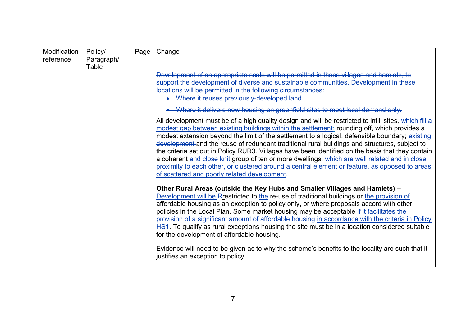| Modification | Policy/    | Page | Change                                                                                                                                                                                                                                                                                                                                                                                                                                                                                                                                                                                                                                                                                                                                                           |
|--------------|------------|------|------------------------------------------------------------------------------------------------------------------------------------------------------------------------------------------------------------------------------------------------------------------------------------------------------------------------------------------------------------------------------------------------------------------------------------------------------------------------------------------------------------------------------------------------------------------------------------------------------------------------------------------------------------------------------------------------------------------------------------------------------------------|
| reference    | Paragraph/ |      |                                                                                                                                                                                                                                                                                                                                                                                                                                                                                                                                                                                                                                                                                                                                                                  |
|              | Table      |      |                                                                                                                                                                                                                                                                                                                                                                                                                                                                                                                                                                                                                                                                                                                                                                  |
|              |            |      | Development of an appropriate scale will be permitted in these villages and hamlets, to                                                                                                                                                                                                                                                                                                                                                                                                                                                                                                                                                                                                                                                                          |
|              |            |      | support the development of diverse and sustainable communities. Development in these                                                                                                                                                                                                                                                                                                                                                                                                                                                                                                                                                                                                                                                                             |
|              |            |      | locations will be permitted in the following circumstances:                                                                                                                                                                                                                                                                                                                                                                                                                                                                                                                                                                                                                                                                                                      |
|              |            |      | • Where it reuses previously-developed land                                                                                                                                                                                                                                                                                                                                                                                                                                                                                                                                                                                                                                                                                                                      |
|              |            |      | • Where it delivers new housing on greenfield sites to meet local demand only.                                                                                                                                                                                                                                                                                                                                                                                                                                                                                                                                                                                                                                                                                   |
|              |            |      | All development must be of a high quality design and will be restricted to infill sites, which fill a<br>modest gap between existing buildings within the settlement; rounding off, which provides a<br>modest extension beyond the limit of the settlement to a logical, defensible boundary; existing<br>development and the reuse of redundant traditional rural buildings and structures, subject to<br>the criteria set out in Policy RUR3. Villages have been identified on the basis that they contain<br>a coherent and close knit group of ten or more dwellings, which are well related and in close<br>proximity to each other, or clustered around a central element or feature, as opposed to areas<br>of scattered and poorly related development. |
|              |            |      | Other Rural Areas (outside the Key Hubs and Smaller Villages and Hamlets) -<br>Development will be Rrestricted to the re-use of traditional buildings or the provision of<br>affordable housing as an exception to policy only, or where proposals accord with other<br>policies in the Local Plan. Some market housing may be acceptable if it facilitates the<br>provision of a significant amount of affordable housing in accordance with the criteria in Policy<br>HS1. To qualify as rural exceptions housing the site must be in a location considered suitable<br>for the development of affordable housing.<br>Evidence will need to be given as to why the scheme's benefits to the locality are such that it<br>justifies an exception to policy.     |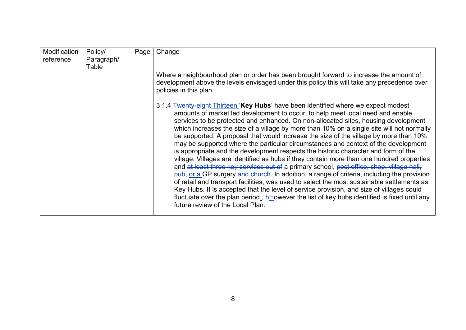| Modification<br>reference | Policy/<br>Paragraph/ | Page | Change                                                                                                                                                                                                                                                                                                                                                                                                                                                                                                                                                                                                                                                                                                                                                                                                                                                                                                                                                                                                                                                                                                                                                                                                                                                                    |
|---------------------------|-----------------------|------|---------------------------------------------------------------------------------------------------------------------------------------------------------------------------------------------------------------------------------------------------------------------------------------------------------------------------------------------------------------------------------------------------------------------------------------------------------------------------------------------------------------------------------------------------------------------------------------------------------------------------------------------------------------------------------------------------------------------------------------------------------------------------------------------------------------------------------------------------------------------------------------------------------------------------------------------------------------------------------------------------------------------------------------------------------------------------------------------------------------------------------------------------------------------------------------------------------------------------------------------------------------------------|
|                           | Table                 |      |                                                                                                                                                                                                                                                                                                                                                                                                                                                                                                                                                                                                                                                                                                                                                                                                                                                                                                                                                                                                                                                                                                                                                                                                                                                                           |
|                           |                       |      | Where a neighbourhood plan or order has been brought forward to increase the amount of<br>development above the levels envisaged under this policy this will take any precedence over<br>policies in this plan.                                                                                                                                                                                                                                                                                                                                                                                                                                                                                                                                                                                                                                                                                                                                                                                                                                                                                                                                                                                                                                                           |
|                           |                       |      | 3.1.4 <b>Twenty-eight Thirteen 'Key Hubs'</b> have been identified where we expect modest<br>amounts of market led development to occur, to help meet local need and enable<br>services to be protected and enhanced. On non-allocated sites, housing development<br>which increases the size of a village by more than 10% on a single site will not normally<br>be supported. A proposal that would increase the size of the village by more than 10%<br>may be supported where the particular circumstances and context of the development<br>is appropriate and the development respects the historic character and form of the<br>village. Villages are identified as hubs if they contain more than one hundred properties<br>and at least three key services out of a primary school, post office, shop, village hall,<br>pub, or a GP surgery and church. In addition, a range of criteria, including the provision<br>of retail and transport facilities, was used to select the most sustainable settlements as<br>Key Hubs. It is accepted that the level of service provision, and size of villages could<br>fluctuate over the plan period <sub>5</sub> , $h$ However the list of key hubs identified is fixed until any<br>future review of the Local Plan. |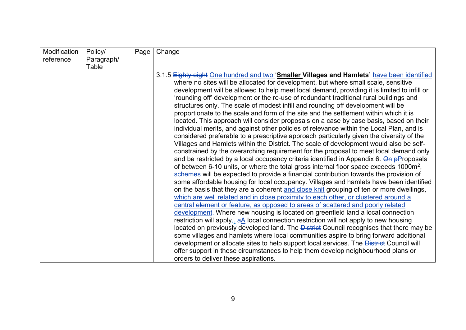| Modification | Policy/    | Page | Change                                                                                            |
|--------------|------------|------|---------------------------------------------------------------------------------------------------|
| reference    | Paragraph/ |      |                                                                                                   |
|              | Table      |      |                                                                                                   |
|              |            |      | 3.1.5 Eighty eight One hundred and two 'Smaller Villages and Hamlets' have been identified        |
|              |            |      | where no sites will be allocated for development, but where small scale, sensitive                |
|              |            |      | development will be allowed to help meet local demand, providing it is limited to infill or       |
|              |            |      | 'rounding off' development or the re-use of redundant traditional rural buildings and             |
|              |            |      | structures only. The scale of modest infill and rounding off development will be                  |
|              |            |      | proportionate to the scale and form of the site and the settlement within which it is             |
|              |            |      | located. This approach will consider proposals on a case by case basis, based on their            |
|              |            |      | individual merits, and against other policies of relevance within the Local Plan, and is          |
|              |            |      | considered preferable to a prescriptive approach particularly given the diversity of the          |
|              |            |      | Villages and Hamlets within the District. The scale of development would also be self-            |
|              |            |      | constrained by the overarching requirement for the proposal to meet local demand only             |
|              |            |      | and be restricted by a local occupancy criteria identified in Appendix 6. On pProposals           |
|              |            |      | of between 6-10 units, or where the total gross internal floor space exceeds 1000m <sup>2</sup> , |
|              |            |      | schemes will be expected to provide a financial contribution towards the provision of             |
|              |            |      | some affordable housing for local occupancy. Villages and hamlets have been identified            |
|              |            |      | on the basis that they are a coherent and close knit grouping of ten or more dwellings,           |
|              |            |      | which are well related and in close proximity to each other, or clustered around a                |
|              |            |      | central element or feature, as opposed to areas of scattered and poorly related                   |
|              |            |      | development. Where new housing is located on greenfield land a local connection                   |
|              |            |      | restriction will apply <sub>3</sub> a local connection restriction will not apply to new housing  |
|              |            |      | located on previously developed land. The <b>District</b> Council recognises that there may be    |
|              |            |      | some villages and hamlets where local communities aspire to bring forward additional              |
|              |            |      | development or allocate sites to help support local services. The District Council will           |
|              |            |      | offer support in these circumstances to help them develop neighbourhood plans or                  |
|              |            |      | orders to deliver these aspirations.                                                              |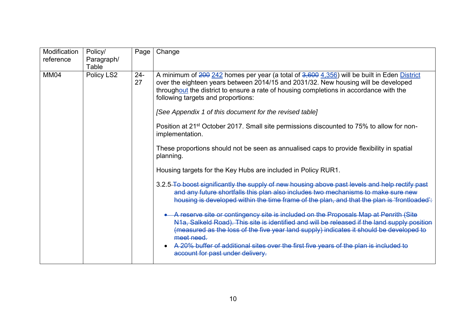| Modification<br>reference | Policy/<br>Paragraph/<br>Table | Page         | Change                                                                                                                                                                                                                                                                                                                                                                                 |           |                                                                                           |
|---------------------------|--------------------------------|--------------|----------------------------------------------------------------------------------------------------------------------------------------------------------------------------------------------------------------------------------------------------------------------------------------------------------------------------------------------------------------------------------------|-----------|-------------------------------------------------------------------------------------------|
| <b>MM04</b>               | Policy LS2                     | $24 -$<br>27 | A minimum of 200 242 homes per year (a total of 3,600 4,356) will be built in Eden District<br>over the eighteen years between 2014/15 and 2031/32. New housing will be developed<br>throughout the district to ensure a rate of housing completions in accordance with the<br>following targets and proportions:                                                                      |           |                                                                                           |
|                           |                                |              | [See Appendix 1 of this document for the revised table]                                                                                                                                                                                                                                                                                                                                |           |                                                                                           |
|                           |                                |              | Position at 21 <sup>st</sup> October 2017. Small site permissions discounted to 75% to allow for non-<br>implementation.                                                                                                                                                                                                                                                               |           |                                                                                           |
|                           |                                |              |                                                                                                                                                                                                                                                                                                                                                                                        | planning. | These proportions should not be seen as annualised caps to provide flexibility in spatial |
|                           |                                |              | Housing targets for the Key Hubs are included in Policy RUR1.                                                                                                                                                                                                                                                                                                                          |           |                                                                                           |
|                           |                                |              | 3.2.5-To boost significantly the supply of new housing above past levels and help rectify past<br>and any future shortfalls this plan also includes two mechanisms to make sure new<br>housing is developed within the time frame of the plan, and that the plan is 'frontloaded':                                                                                                     |           |                                                                                           |
|                           |                                |              | A reserve site or contingency site is included on the Proposals Map at Penrith (Site<br>N1a, Salkeld Road). This site is identified and will be released if the land supply position<br>(measured as the loss of the five year land supply) indicates it should be developed to<br>meet need.<br>A 20% buffer of additional sites over the first five years of the plan is included to |           |                                                                                           |
|                           |                                |              | account for past under delivery.                                                                                                                                                                                                                                                                                                                                                       |           |                                                                                           |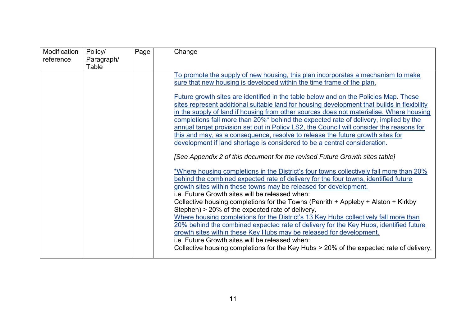| Modification<br>reference | Policy/             | Page | Change                                                                                      |
|---------------------------|---------------------|------|---------------------------------------------------------------------------------------------|
|                           | Paragraph/<br>Table |      |                                                                                             |
|                           |                     |      | To promote the supply of new housing, this plan incorporates a mechanism to make            |
|                           |                     |      | sure that new housing is developed within the time frame of the plan.                       |
|                           |                     |      | Future growth sites are identified in the table below and on the Policies Map. These        |
|                           |                     |      | sites represent additional suitable land for housing development that builds in flexibility |
|                           |                     |      | in the supply of land if housing from other sources does not materialise. Where housing     |
|                           |                     |      | completions fall more than 20%* behind the expected rate of delivery, implied by the        |
|                           |                     |      | annual target provision set out in Policy LS2, the Council will consider the reasons for    |
|                           |                     |      | this and may, as a consequence, resolve to release the future growth sites for              |
|                           |                     |      | development if land shortage is considered to be a central consideration.                   |
|                           |                     |      | [See Appendix 2 of this document for the revised Future Growth sites table]                 |
|                           |                     |      | *Where housing completions in the District's four towns collectively fall more than 20%     |
|                           |                     |      | behind the combined expected rate of delivery for the four towns, identified future         |
|                           |                     |      | growth sites within these towns may be released for development.                            |
|                           |                     |      | i.e. Future Growth sites will be released when:                                             |
|                           |                     |      | Collective housing completions for the Towns (Penrith + Appleby + Alston + Kirkby           |
|                           |                     |      | Stephen) > 20% of the expected rate of delivery.                                            |
|                           |                     |      | Where housing completions for the District's 13 Key Hubs collectively fall more than        |
|                           |                     |      | 20% behind the combined expected rate of delivery for the Key Hubs, identified future       |
|                           |                     |      | growth sites within these Key Hubs may be released for development.                         |
|                           |                     |      | i.e. Future Growth sites will be released when:                                             |
|                           |                     |      | Collective housing completions for the Key Hubs > 20% of the expected rate of delivery.     |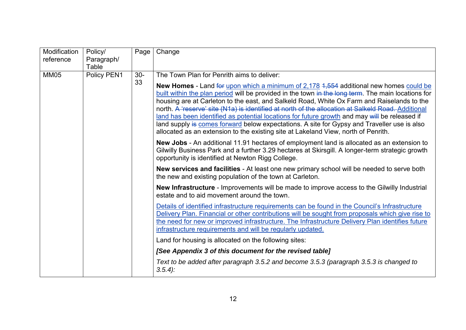| Modification<br>reference | Policy/<br>Paragraph/<br>Table | Page        | Change                                                                                                                                                                                                                                                                                                                                                                                                                                                                                                                                                                                                                                                                                                                                      |
|---------------------------|--------------------------------|-------------|---------------------------------------------------------------------------------------------------------------------------------------------------------------------------------------------------------------------------------------------------------------------------------------------------------------------------------------------------------------------------------------------------------------------------------------------------------------------------------------------------------------------------------------------------------------------------------------------------------------------------------------------------------------------------------------------------------------------------------------------|
| <b>MM05</b>               | Policy PEN1                    | $30-$<br>33 | The Town Plan for Penrith aims to deliver:<br><b>New Homes</b> - Land for upon which a minimum of 2,178 4,554 additional new homes could be<br>built within the plan period will be provided in the town in the long term. The main locations for<br>housing are at Carleton to the east, and Salkeld Road, White Ox Farm and Raiselands to the<br>north. A 'reserve' site (N1a) is identified at north of the allocation at Salkeld Road. Additional<br>land has been identified as potential locations for future growth and may will be released if<br>land supply is comes forward below expectations. A site for Gypsy and Traveller use is also<br>allocated as an extension to the existing site at Lakeland View, north of Penrith. |
|                           |                                |             | New Jobs - An additional 11.91 hectares of employment land is allocated as an extension to<br>Gilwilly Business Park and a further 3.29 hectares at Skirsgill. A longer-term strategic growth<br>opportunity is identified at Newton Rigg College.                                                                                                                                                                                                                                                                                                                                                                                                                                                                                          |
|                           |                                |             | New services and facilities - At least one new primary school will be needed to serve both<br>the new and existing population of the town at Carleton.                                                                                                                                                                                                                                                                                                                                                                                                                                                                                                                                                                                      |
|                           |                                |             | <b>New Infrastructure</b> - Improvements will be made to improve access to the Gilwilly Industrial<br>estate and to aid movement around the town.                                                                                                                                                                                                                                                                                                                                                                                                                                                                                                                                                                                           |
|                           |                                |             | Details of identified infrastructure requirements can be found in the Council's Infrastructure<br>Delivery Plan. Financial or other contributions will be sought from proposals which give rise to<br>the need for new or improved infrastructure. The Infrastructure Delivery Plan identifies future<br>infrastructure requirements and will be regularly updated.                                                                                                                                                                                                                                                                                                                                                                         |
|                           |                                |             | Land for housing is allocated on the following sites:                                                                                                                                                                                                                                                                                                                                                                                                                                                                                                                                                                                                                                                                                       |
|                           |                                |             | [See Appendix 3 of this document for the revised table]                                                                                                                                                                                                                                                                                                                                                                                                                                                                                                                                                                                                                                                                                     |
|                           |                                |             | Text to be added after paragraph 3.5.2 and become 3.5.3 (paragraph 3.5.3 is changed to<br>$3.5.4$ :                                                                                                                                                                                                                                                                                                                                                                                                                                                                                                                                                                                                                                         |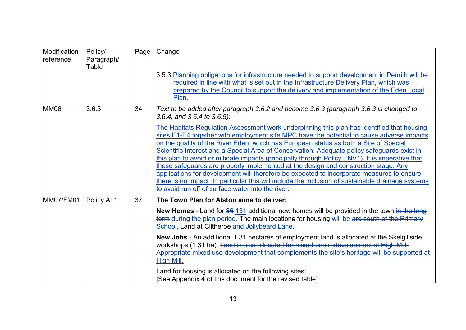| Modification<br>reference | Policy/<br>Paragraph/<br>Table | Page | Change                                                                                                                                                                                                                                                                                                                                                                                                                                                                                                                                                                                                                                                                                                                                                                                                                                                                                                                                                    |
|---------------------------|--------------------------------|------|-----------------------------------------------------------------------------------------------------------------------------------------------------------------------------------------------------------------------------------------------------------------------------------------------------------------------------------------------------------------------------------------------------------------------------------------------------------------------------------------------------------------------------------------------------------------------------------------------------------------------------------------------------------------------------------------------------------------------------------------------------------------------------------------------------------------------------------------------------------------------------------------------------------------------------------------------------------|
|                           |                                |      | 3.5.3 Planning obligations for infrastructure needed to support development in Penrith will be<br>required in line with what is set out in the Infrastructure Delivery Plan, which was<br>prepared by the Council to support the delivery and implementation of the Eden Local<br>Plan.                                                                                                                                                                                                                                                                                                                                                                                                                                                                                                                                                                                                                                                                   |
| <b>MM06</b>               | 3.6.3                          | 34   | Text to be added after paragraph 3.6.2 and become 3.6.3 (paragraph 3.6.3 is changed to<br>3.6.4, and 3.6.4 to 3.6.5):<br>The Habitats Regulation Assessment work underpinning this plan has identified that housing<br>sites E1-E4 together with employment site MPC have the potential to cause adverse impacts<br>on the quality of the River Eden, which has European status as both a Site of Special<br>Scientific Interest and a Special Area of Conservation. Adequate policy safeguards exist in<br>this plan to avoid or mitigate impacts (principally through Policy ENV1). It is imperative that<br>these safeguards are properly implemented at the design and construction stage. Any<br>applications for development will therefore be expected to incorporate measures to ensure<br>there is no impact. In particular this will include the inclusion of sustainable drainage systems<br>to avoid run off of surface water into the river. |
| <b>MM07/FM01</b>          | Policy AL1                     | 37   | The Town Plan for Alston aims to deliver:<br>New Homes - Land for 86 131 additional new homes will be provided in the town in the long<br>term during the plan period. The main locations for housing will be are south of the Primary<br>School, Land at Clitheroe and Jollybeard Lane.<br>New Jobs - An additional 1.31 hectares of employment land is allocated at the Skelgillside<br>workshops (1.31 ha). Land is also allocated for mixed-use redevelopment at High Mill.<br>Appropriate mixed use development that complements the site's heritage will be supported at<br><b>High Mill.</b><br>Land for housing is allocated on the following sites:<br>[See Appendix 4 of this document for the revised table]                                                                                                                                                                                                                                   |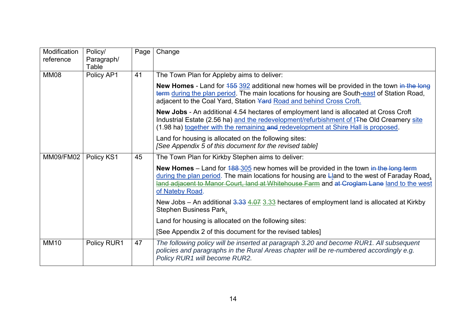| Modification     | Policy/             | Page | Change                                                                                                                                                                                                                                                                                                          |
|------------------|---------------------|------|-----------------------------------------------------------------------------------------------------------------------------------------------------------------------------------------------------------------------------------------------------------------------------------------------------------------|
| reference        | Paragraph/<br>Table |      |                                                                                                                                                                                                                                                                                                                 |
| MM08             | Policy AP1          | 41   | The Town Plan for Appleby aims to deliver:                                                                                                                                                                                                                                                                      |
|                  |                     |      | <b>New Homes</b> - Land for $455\,392$ additional new homes will be provided in the town in the long<br>term during the plan period. The main locations for housing are South-east of Station Road,<br>adjacent to the Coal Yard, Station Yard Road and behind Cross Croft.                                     |
|                  |                     |      | New Jobs - An additional 4.54 hectares of employment land is allocated at Cross Croft<br>Industrial Estate (2.56 ha) and the redevelopment/refurbishment of t <sub>T</sub> he Old Creamery site<br>(1.98 ha) together with the remaining and redevelopment at Shire Hall is proposed.                           |
|                  |                     |      | Land for housing is allocated on the following sites:<br>[See Appendix 5 of this document for the revised table]                                                                                                                                                                                                |
| <b>MM09/FM02</b> | Policy KS1          | 45   | The Town Plan for Kirkby Stephen aims to deliver:                                                                                                                                                                                                                                                               |
|                  |                     |      | <b>New Homes</b> – Land for $188-305$ new homes will be provided in the town in the long term<br>during the plan period. The main locations for housing are Lland to the west of Faraday Road,<br>land adjacent to Manor Court, land at Whitehouse Farm and at Croglam Lane land to the west<br>of Nateby Road. |
|                  |                     |      | New Jobs – An additional $3.33$ $4.07$ $3.33$ hectares of employment land is allocated at Kirkby<br>Stephen Business Park.                                                                                                                                                                                      |
|                  |                     |      | Land for housing is allocated on the following sites:                                                                                                                                                                                                                                                           |
|                  |                     |      | [See Appendix 2 of this document for the revised tables]                                                                                                                                                                                                                                                        |
| <b>MM10</b>      | Policy RUR1         | 47   | The following policy will be inserted at paragraph 3.20 and become RUR1. All subsequent<br>policies and paragraphs in the Rural Areas chapter will be re-numbered accordingly e.g.<br>Policy RUR1 will become RUR2.                                                                                             |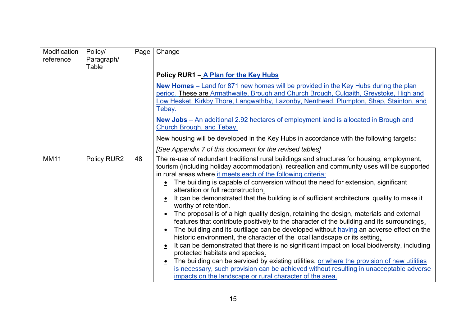| Modification<br>reference | Policy/<br>Paragraph/ | Page | Change                                                                                                                                                                                            |
|---------------------------|-----------------------|------|---------------------------------------------------------------------------------------------------------------------------------------------------------------------------------------------------|
|                           | Table                 |      |                                                                                                                                                                                                   |
|                           |                       |      | Policy RUR1 - A Plan for the Key Hubs                                                                                                                                                             |
|                           |                       |      | New Homes - Land for 871 new homes will be provided in the Key Hubs during the plan                                                                                                               |
|                           |                       |      | period. These are Armathwaite, Brough and Church Brough, Culgaith, Greystoke, High and                                                                                                            |
|                           |                       |      | Low Hesket, Kirkby Thore, Langwathby, Lazonby, Nenthead, Plumpton, Shap, Stainton, and                                                                                                            |
|                           |                       |      | <u>Tebay.</u>                                                                                                                                                                                     |
|                           |                       |      | New Jobs - An additional 2.92 hectares of employment land is allocated in Brough and                                                                                                              |
|                           |                       |      | <b>Church Brough, and Tebay.</b>                                                                                                                                                                  |
|                           |                       |      | New housing will be developed in the Key Hubs in accordance with the following targets:                                                                                                           |
|                           |                       |      | [See Appendix 7 of this document for the revised tables]                                                                                                                                          |
| <b>MM11</b>               | Policy RUR2           | 48   | The re-use of redundant traditional rural buildings and structures for housing, employment,                                                                                                       |
|                           |                       |      | tourism (including holiday accommodation), recreation and community uses will be supported                                                                                                        |
|                           |                       |      | in rural areas where it meets each of the following criteria:<br>The building is capable of conversion without the need for extension, significant<br>$\bullet$                                   |
|                           |                       |      | alteration or full reconstruction.                                                                                                                                                                |
|                           |                       |      | It can be demonstrated that the building is of sufficient architectural quality to make it<br>worthy of retention.                                                                                |
|                           |                       |      | The proposal is of a high quality design, retaining the design, materials and external<br>$\bullet$<br>features that contribute positively to the character of the building and its surroundings. |
|                           |                       |      | The building and its curtilage can be developed without having an adverse effect on the<br>$\bullet$<br>historic environment, the character of the local landscape or its setting.                |
|                           |                       |      | It can be demonstrated that there is no significant impact on local biodiversity, including<br>$\bullet$                                                                                          |
|                           |                       |      | protected habitats and species.                                                                                                                                                                   |
|                           |                       |      | The building can be serviced by existing utilities, or where the provision of new utilities<br>$\bullet$                                                                                          |
|                           |                       |      | is necessary, such provision can be achieved without resulting in unacceptable adverse                                                                                                            |
|                           |                       |      | impacts on the landscape or rural character of the area.                                                                                                                                          |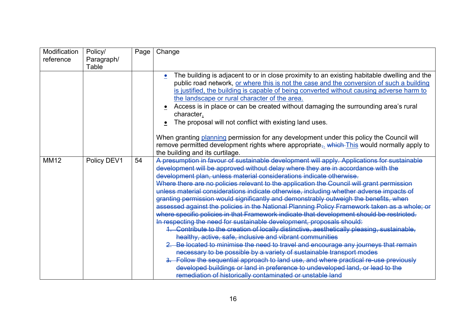| Modification | Policy/     | Page | Change                                                                                                                                                                                                                                                                                                                                                                                                                                                                                                                                                                                                                                                                                                                                                                                                                                                                                                                                                                                                                                                                                                                                                                                                                                                                                                                                                                       |
|--------------|-------------|------|------------------------------------------------------------------------------------------------------------------------------------------------------------------------------------------------------------------------------------------------------------------------------------------------------------------------------------------------------------------------------------------------------------------------------------------------------------------------------------------------------------------------------------------------------------------------------------------------------------------------------------------------------------------------------------------------------------------------------------------------------------------------------------------------------------------------------------------------------------------------------------------------------------------------------------------------------------------------------------------------------------------------------------------------------------------------------------------------------------------------------------------------------------------------------------------------------------------------------------------------------------------------------------------------------------------------------------------------------------------------------|
| reference    | Paragraph/  |      |                                                                                                                                                                                                                                                                                                                                                                                                                                                                                                                                                                                                                                                                                                                                                                                                                                                                                                                                                                                                                                                                                                                                                                                                                                                                                                                                                                              |
|              | Table       |      |                                                                                                                                                                                                                                                                                                                                                                                                                                                                                                                                                                                                                                                                                                                                                                                                                                                                                                                                                                                                                                                                                                                                                                                                                                                                                                                                                                              |
|              |             |      | The building is adjacent to or in close proximity to an existing habitable dwelling and the<br>public road network, or where this is not the case and the conversion of such a building<br>is justified, the building is capable of being converted without causing adverse harm to<br>the landscape or rural character of the area.<br>Access is in place or can be created without damaging the surrounding area's rural<br>character.<br>The proposal will not conflict with existing land uses.<br>When granting planning permission for any development under this policy the Council will                                                                                                                                                                                                                                                                                                                                                                                                                                                                                                                                                                                                                                                                                                                                                                              |
|              |             |      | remove permitted development rights where appropriate <sub>7</sub> which This would normally apply to                                                                                                                                                                                                                                                                                                                                                                                                                                                                                                                                                                                                                                                                                                                                                                                                                                                                                                                                                                                                                                                                                                                                                                                                                                                                        |
|              |             |      | the building and its curtilage.                                                                                                                                                                                                                                                                                                                                                                                                                                                                                                                                                                                                                                                                                                                                                                                                                                                                                                                                                                                                                                                                                                                                                                                                                                                                                                                                              |
| <b>MM12</b>  | Policy DEV1 | 54   | A presumption in favour of sustainable development will apply. Applications for sustainable<br>development will be approved without delay where they are in accordance with the<br>development plan, unless material considerations indicate otherwise.<br>Where there are no policies relevant to the application the Council will grant permission<br>unless material considerations indicate otherwise, including whether adverse impacts of<br>granting permission would significantly and demonstrably outweigh the benefits, when<br>assessed against the policies in the National Planning Policy Framework taken as a whole; or<br>where specific policies in that Framework indicate that development should be restricted.<br>In respecting the need for sustainable development, proposals should:<br>1. Contribute to the creation of locally distinctive, aesthetically pleasing, sustainable,<br>healthy, active, safe, inclusive and vibrant communities<br>2. Be located to minimise the need to travel and encourage any journeys that remain<br>necessary to be possible by a variety of sustainable transport modes<br>3. Follow the sequential approach to land use, and where practical re-use previously<br>developed buildings or land in preference to undeveloped land, or lead to the<br>remediation of historically contaminated or unstable land |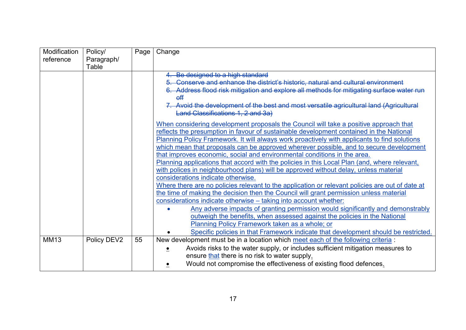| Modification | Policy/     | Page | Change                                                                                          |
|--------------|-------------|------|-------------------------------------------------------------------------------------------------|
| reference    | Paragraph/  |      |                                                                                                 |
|              | Table       |      |                                                                                                 |
|              |             |      | 4. Be designed to a high standard                                                               |
|              |             |      | 5. Conserve and enhance the district's historic, natural and cultural environment               |
|              |             |      | 6. Address flood risk mitigation and explore all methods for mitigating surface water run       |
|              |             |      | $_{\text{eff}}$                                                                                 |
|              |             |      | 7. Avoid the development of the best and most versatile agricultural land (Agricultural         |
|              |             |      | Land Classifications 1, 2 and 3a)                                                               |
|              |             |      | When considering development proposals the Council will take a positive approach that           |
|              |             |      | reflects the presumption in favour of sustainable development contained in the National         |
|              |             |      | Planning Policy Framework. It will always work proactively with applicants to find solutions    |
|              |             |      | which mean that proposals can be approved wherever possible, and to secure development          |
|              |             |      | that improves economic, social and environmental conditions in the area.                        |
|              |             |      | Planning applications that accord with the policies in this Local Plan (and, where relevant,    |
|              |             |      | with polices in neighbourhood plans) will be approved without delay, unless material            |
|              |             |      | considerations indicate otherwise.                                                              |
|              |             |      | Where there are no policies relevant to the application or relevant policies are out of date at |
|              |             |      | the time of making the decision then the Council will grant permission unless material          |
|              |             |      | considerations indicate otherwise - taking into account whether:                                |
|              |             |      | Any adverse impacts of granting permission would significantly and demonstrably                 |
|              |             |      | outweigh the benefits, when assessed against the policies in the National                       |
|              |             |      | Planning Policy Framework taken as a whole; or                                                  |
|              |             |      | Specific policies in that Framework indicate that development should be restricted.             |
| <b>MM13</b>  | Policy DEV2 | 55   | New development must be in a location which meet each of the following criteria:                |
|              |             |      | Avoids risks to the water supply, or includes sufficient mitigation measures to                 |
|              |             |      | ensure that there is no risk to water supply.                                                   |
|              |             |      | Would not compromise the effectiveness of existing flood defences.                              |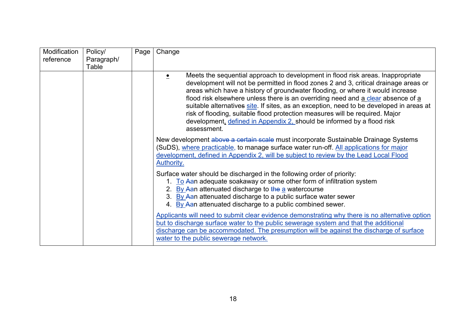| Modification<br>reference | Policy/<br>Paragraph/<br>Table | Page | Change                                                                                                                                                                                                                                                                                                                                                                                                                                                                                                                                                                                                            |
|---------------------------|--------------------------------|------|-------------------------------------------------------------------------------------------------------------------------------------------------------------------------------------------------------------------------------------------------------------------------------------------------------------------------------------------------------------------------------------------------------------------------------------------------------------------------------------------------------------------------------------------------------------------------------------------------------------------|
|                           |                                |      | Meets the sequential approach to development in flood risk areas. Inappropriate<br>development will not be permitted in flood zones 2 and 3, critical drainage areas or<br>areas which have a history of groundwater flooding, or where it would increase<br>flood risk elsewhere unless there is an overriding need and a clear absence of a<br>suitable alternatives site. If sites, as an exception, need to be developed in areas at<br>risk of flooding, suitable flood protection measures will be required. Major<br>development, defined in Appendix 2, should be informed by a flood risk<br>assessment. |
|                           |                                |      | New development above a certain scale must incorporate Sustainable Drainage Systems<br>(SuDS), where practicable, to manage surface water run-off. All applications for major<br>development, defined in Appendix 2, will be subject to review by the Lead Local Flood<br>Authority.                                                                                                                                                                                                                                                                                                                              |
|                           |                                |      | Surface water should be discharged in the following order of priority:<br>1. To Aan adequate soakaway or some other form of infiltration system<br>2. By Aan attenuated discharge to the a watercourse<br>3. By Aan attenuated discharge to a public surface water sewer<br>4. By Aan attenuated discharge to a public combined sewer.                                                                                                                                                                                                                                                                            |
|                           |                                |      | Applicants will need to submit clear evidence demonstrating why there is no alternative option<br>but to discharge surface water to the public sewerage system and that the additional<br>discharge can be accommodated. The presumption will be against the discharge of surface<br>water to the public sewerage network.                                                                                                                                                                                                                                                                                        |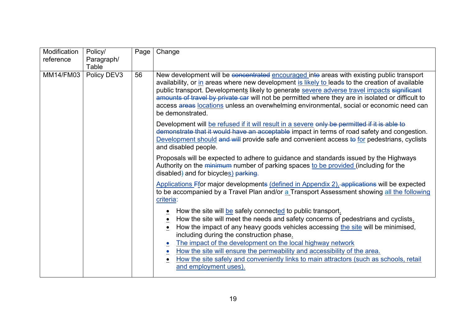| Modification     | Policy/     | Page | Change                                                                                                                                                                                                                                                                                                                                                                                                                                                                                                                                                    |
|------------------|-------------|------|-----------------------------------------------------------------------------------------------------------------------------------------------------------------------------------------------------------------------------------------------------------------------------------------------------------------------------------------------------------------------------------------------------------------------------------------------------------------------------------------------------------------------------------------------------------|
| reference        | Paragraph/  |      |                                                                                                                                                                                                                                                                                                                                                                                                                                                                                                                                                           |
|                  | Table       |      |                                                                                                                                                                                                                                                                                                                                                                                                                                                                                                                                                           |
| <b>MM14/FM03</b> | Policy DEV3 | 56   | New development will be concentrated encouraged into areas with existing public transport<br>availability, or in areas where new development is likely to leads to the creation of available<br>public transport. Developments likely to generate severe adverse travel impacts significant<br>amounts of travel by private car will not be permitted where they are in isolated or difficult to<br>access areas locations unless an overwhelming environmental, social or economic need can<br>be demonstrated.                                          |
|                  |             |      | Development will be refused if it will result in a severe only be permitted if it is able to<br>demonstrate that it would have an acceptable impact in terms of road safety and congestion.<br>Development should and will provide safe and convenient access to for pedestrians, cyclists<br>and disabled people.                                                                                                                                                                                                                                        |
|                  |             |      | Proposals will be expected to adhere to guidance and standards issued by the Highways<br>Authority on the minimum number of parking spaces to be provided (including for the<br>disabled) and for bicycles) parking.                                                                                                                                                                                                                                                                                                                                      |
|                  |             |      | Applications Ffor major developments (defined in Appendix 2), applications will be expected<br>to be accompanied by a Travel Plan and/or a Transport Assessment showing all the following<br>criteria:                                                                                                                                                                                                                                                                                                                                                    |
|                  |             |      | How the site will be safely connected to public transport.<br>How the site will meet the needs and safety concerns of pedestrians and cyclists.<br>How the impact of any heavy goods vehicles accessing the site will be minimised,<br>including during the construction phase.<br>The impact of the development on the local highway network<br>How the site will ensure the permeability and accessibility of the area.<br>$\bullet$<br>How the site safely and conveniently links to main attractors (such as schools, retail<br>and employment uses). |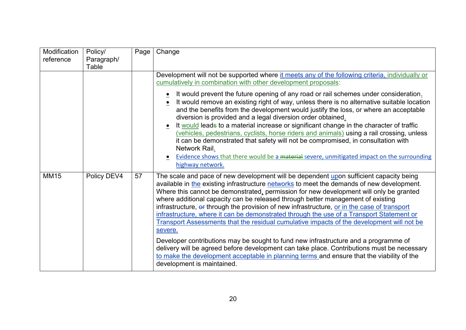| Modification<br>reference | Policy/<br>Paragraph/<br>Table | Page | Change                                                                                                                                                                                                                                                                                                                                                                                                                                                                                                                                                                                                                                                                                                                                                                                                                                                                                                                                                                                                                                                                                                                                                                                                                                                                                                                                                                                                                                                                                                                                                                                                                                                                                                                                                                                                                                                                                                               |
|---------------------------|--------------------------------|------|----------------------------------------------------------------------------------------------------------------------------------------------------------------------------------------------------------------------------------------------------------------------------------------------------------------------------------------------------------------------------------------------------------------------------------------------------------------------------------------------------------------------------------------------------------------------------------------------------------------------------------------------------------------------------------------------------------------------------------------------------------------------------------------------------------------------------------------------------------------------------------------------------------------------------------------------------------------------------------------------------------------------------------------------------------------------------------------------------------------------------------------------------------------------------------------------------------------------------------------------------------------------------------------------------------------------------------------------------------------------------------------------------------------------------------------------------------------------------------------------------------------------------------------------------------------------------------------------------------------------------------------------------------------------------------------------------------------------------------------------------------------------------------------------------------------------------------------------------------------------------------------------------------------------|
| <b>MM15</b>               | Policy DEV4                    | 57   | Development will not be supported where it meets any of the following criteria, individually or<br>cumulatively in combination with other development proposals:<br>It would prevent the future opening of any road or rail schemes under consideration.<br>It would remove an existing right of way, unless there is no alternative suitable location<br>and the benefits from the development would justify the loss, or where an acceptable<br>diversion is provided and a legal diversion order obtained.<br>It would leads to a material increase or significant change in the character of traffic<br>(vehicles, pedestrians, cyclists, horse riders and animals) using a rail crossing, unless<br>it can be demonstrated that safety will not be compromised, in consultation with<br>Network Rail.<br>Evidence shows that there would be a material severe, unmitigated impact on the surrounding<br>highway network.<br>The scale and pace of new development will be dependent upon sufficient capacity being<br>available in the existing infrastructure networks to meet the demands of new development.<br>Where this cannot be demonstrated, permission for new development will only be granted<br>where additional capacity can be released through better management of existing<br>infrastructure, or through the provision of new infrastructure, or in the case of transport<br>infrastructure, where it can be demonstrated through the use of a Transport Statement or<br>Transport Assessments that the residual cumulative impacts of the development will not be<br>severe.<br>Developer contributions may be sought to fund new infrastructure and a programme of<br>delivery will be agreed before development can take place. Contributions must be necessary<br>to make the development acceptable in planning terms and ensure that the viability of the<br>development is maintained. |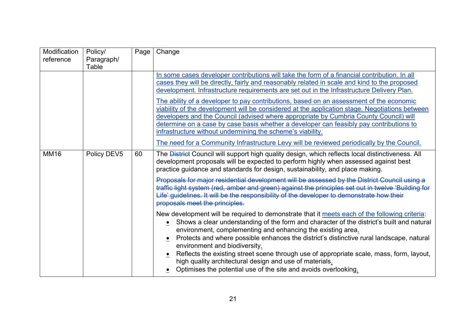| Modification<br>reference | Policy/<br>Paragraph/<br>Table | Page | Change                                                                                                                                                                                                                                                                                                                                                                                                                                                                                                                                                                                                                                                                                                                                                                                                                                 |
|---------------------------|--------------------------------|------|----------------------------------------------------------------------------------------------------------------------------------------------------------------------------------------------------------------------------------------------------------------------------------------------------------------------------------------------------------------------------------------------------------------------------------------------------------------------------------------------------------------------------------------------------------------------------------------------------------------------------------------------------------------------------------------------------------------------------------------------------------------------------------------------------------------------------------------|
|                           |                                |      | In some cases developer contributions will take the form of a financial contribution. In all<br>cases they will be directly, fairly and reasonably related in scale and kind to the proposed<br>development. Infrastructure requirements are set out in the Infrastructure Delivery Plan.<br>The ability of a developer to pay contributions, based on an assessment of the economic<br>viability of the development will be considered at the application stage. Negotiations between<br>developers and the Council (advised where appropriate by Cumbria County Council) will<br>determine on a case by case basis whether a developer can feasibly pay contributions to<br>infrastructure without undermining the scheme's viability.<br>The need for a Community Infrastructure Levy will be reviewed periodically by the Council. |
| <b>MM16</b>               | Policy DEV5                    | 60   | The <b>District</b> Council will support high quality design, which reflects local distinctiveness. All<br>development proposals will be expected to perform highly when assessed against best<br>practice guidance and standards for design, sustainability, and place making.<br>Proposals for major residential development will be assessed by the District Council using a<br>traffic light system (red, amber and green) against the principles set out in twelve 'Building for<br>Life' guidelines. It will be the responsibility of the developer to demonstrate how their<br>proposals meet the principles.                                                                                                                                                                                                                   |
|                           |                                |      | New development will be required to demonstrate that it meets each of the following criteria:<br>• Shows a clear understanding of the form and character of the district's built and natural<br>environment, complementing and enhancing the existing area.<br>Protects and where possible enhances the district's distinctive rural landscape, natural<br>environment and biodiversity.<br>Reflects the existing street scene through use of appropriate scale, mass, form, layout,<br>$\bullet$<br>high quality architectural design and use of materials.<br>Optimises the potential use of the site and avoids overlooking.                                                                                                                                                                                                        |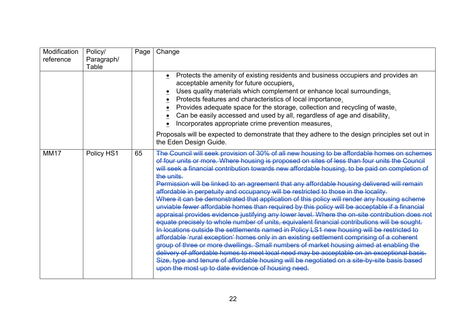| Modification<br>reference | Policy/<br>Paragraph/ | Page | Change                                                                                                                                                                                                                                                                                                                                                                                                                                                                                                                                                                                                                                                                                                                                                                                                                                                                                                                                                                                                                                                                                                                                                                                                                                                                                                                                                                                                                                             |
|---------------------------|-----------------------|------|----------------------------------------------------------------------------------------------------------------------------------------------------------------------------------------------------------------------------------------------------------------------------------------------------------------------------------------------------------------------------------------------------------------------------------------------------------------------------------------------------------------------------------------------------------------------------------------------------------------------------------------------------------------------------------------------------------------------------------------------------------------------------------------------------------------------------------------------------------------------------------------------------------------------------------------------------------------------------------------------------------------------------------------------------------------------------------------------------------------------------------------------------------------------------------------------------------------------------------------------------------------------------------------------------------------------------------------------------------------------------------------------------------------------------------------------------|
|                           | Table                 |      |                                                                                                                                                                                                                                                                                                                                                                                                                                                                                                                                                                                                                                                                                                                                                                                                                                                                                                                                                                                                                                                                                                                                                                                                                                                                                                                                                                                                                                                    |
|                           |                       |      | Protects the amenity of existing residents and business occupiers and provides an<br>acceptable amenity for future occupiers.<br>Uses quality materials which complement or enhance local surroundings.<br>Protects features and characteristics of local importance.<br>Provides adequate space for the storage, collection and recycling of waste.<br>Can be easily accessed and used by all, regardless of age and disability.<br>Incorporates appropriate crime prevention measures.                                                                                                                                                                                                                                                                                                                                                                                                                                                                                                                                                                                                                                                                                                                                                                                                                                                                                                                                                           |
|                           |                       |      | Proposals will be expected to demonstrate that they adhere to the design principles set out in<br>the Eden Design Guide.                                                                                                                                                                                                                                                                                                                                                                                                                                                                                                                                                                                                                                                                                                                                                                                                                                                                                                                                                                                                                                                                                                                                                                                                                                                                                                                           |
| <b>MM17</b>               | Policy HS1            | 65   | The Council will seek provision of 30% of all new housing to be affordable homes on schemes<br>of four units or more. Where housing is proposed on sites of less than four units the Council<br>will seek a financial contribution towards new affordable housing, to be paid on completion of<br>the units.<br>Permission will be linked to an agreement that any affordable housing delivered will remain<br>affordable in perpetuity and occupancy will be restricted to those in the locality.<br>Where it can be demonstrated that application of this policy will render any housing scheme<br>unviable fewer affordable homes than required by this policy will be acceptable if a financial<br>appraisal provides evidence justifying any lower level. Where the on-site contribution does not<br>equate precisely to whole number of units, equivalent financial contributions will be sought.<br>In locations outside the settlements named in Policy LS1 new housing will be restricted to<br>affordable 'rural exception' homes only in an existing settlement comprising of a coherent<br>group of three or more dwellings. Small numbers of market housing aimed at enabling the<br>delivery of affordable homes to meet local need may be acceptable on an exceptional basis.<br>Size, type and tenure of affordable housing will be negotiated on a site-by-site basis based<br>upon the most up to date evidence of housing need. |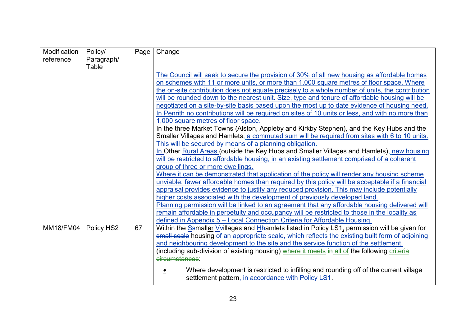| Modification     | Policy/    | Page | Change                                                                                            |
|------------------|------------|------|---------------------------------------------------------------------------------------------------|
| reference        | Paragraph/ |      |                                                                                                   |
|                  | Table      |      |                                                                                                   |
|                  |            |      | The Council will seek to secure the provision of 30% of all new housing as affordable homes       |
|                  |            |      | on schemes with 11 or more units, or more than 1,000 square metres of floor space. Where          |
|                  |            |      | the on-site contribution does not equate precisely to a whole number of units, the contribution   |
|                  |            |      | will be rounded down to the nearest unit. Size, type and tenure of affordable housing will be     |
|                  |            |      | negotiated on a site-by-site basis based upon the most up to date evidence of housing need.       |
|                  |            |      | In Penrith no contributions will be required on sites of 10 units or less, and with no more than  |
|                  |            |      | 1,000 square metres of floor space.                                                               |
|                  |            |      | In the three Market Towns (Alston, Appleby and Kirkby Stephen), and the Key Hubs and the          |
|                  |            |      | Smaller Villages and Hamlets, a commuted sum will be required from sites with 6 to 10 units.      |
|                  |            |      | This will be secured by means of a planning obligation.                                           |
|                  |            |      | In Other Rural Areas (outside the Key Hubs and Smaller Villages and Hamlets), new housing         |
|                  |            |      | will be restricted to affordable housing, in an existing settlement comprised of a coherent       |
|                  |            |      | group of three or more dwellings.                                                                 |
|                  |            |      | Where it can be demonstrated that application of the policy will render any housing scheme        |
|                  |            |      | unviable, fewer affordable homes than required by this policy will be acceptable if a financial   |
|                  |            |      | appraisal provides evidence to justify any reduced provision. This may include potentially        |
|                  |            |      | higher costs associated with the development of previously developed land.                        |
|                  |            |      | Planning permission will be linked to an agreement that any affordable housing delivered will     |
|                  |            |      | remain affordable in perpetuity and occupancy will be restricted to those in the locality as      |
|                  |            |      | defined in Appendix 5 - Local Connection Criteria for Affordable Housing.                         |
| <b>MM18/FM04</b> | Policy HS2 | 67   | Within the Ssmaller V+illages and Hhamlets listed in Policy LS1, permission will be given for     |
|                  |            |      | small scale housing of an appropriate scale, which reflects the existing built form of adjoining  |
|                  |            |      | and neighbouring development to the site and the service function of the settlement,              |
|                  |            |      | (including sub-division of existing housing) where it meets in all of the following criteria      |
|                  |            |      | circumstances:                                                                                    |
|                  |            |      | Where development is restricted to infilling and rounding off of the current village<br>$\bullet$ |
|                  |            |      | settlement pattern, in accordance with Policy LS1.                                                |
|                  |            |      |                                                                                                   |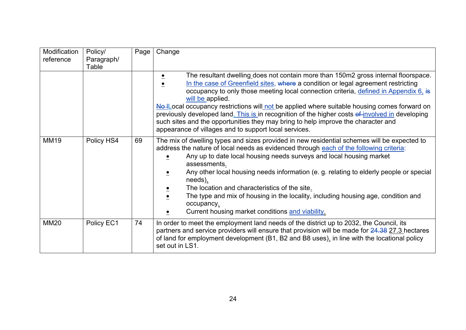| Modification<br>reference | Policy/<br>Paragraph/<br>Table | Page | Change                                                                                                                                                                                                                                                                                                                                                                                                                                                                                                                                                                                                                                            |
|---------------------------|--------------------------------|------|---------------------------------------------------------------------------------------------------------------------------------------------------------------------------------------------------------------------------------------------------------------------------------------------------------------------------------------------------------------------------------------------------------------------------------------------------------------------------------------------------------------------------------------------------------------------------------------------------------------------------------------------------|
|                           |                                |      | The resultant dwelling does not contain more than 150m2 gross internal floorspace.<br>$\bullet$<br>In the case of Greenfield sites, where a condition or legal agreement restricting<br>occupancy to only those meeting local connection criteria, defined in Appendix 6, is<br>will be applied.<br>No ILocal occupancy restrictions will not be applied where suitable housing comes forward on<br>previously developed land. This is in recognition of the higher costs of involved in developing<br>such sites and the opportunities they may bring to help improve the character and<br>appearance of villages and to support local services. |
| <b>MM19</b>               | Policy HS4                     | 69   | The mix of dwelling types and sizes provided in new residential schemes will be expected to<br>address the nature of local needs as evidenced through each of the following criteria:<br>Any up to date local housing needs surveys and local housing market<br>assessments.<br>Any other local housing needs information (e. g. relating to elderly people or special<br>needs).<br>The location and characteristics of the site.<br>The type and mix of housing in the locality, including housing age, condition and<br>$\bullet$<br>occupancy.<br>Current housing market conditions and viability.                                            |
| <b>MM20</b>               | Policy EC1                     | 74   | In order to meet the employment land needs of the district up to 2032, the Council, its<br>partners and service providers will ensure that provision will be made for 24.38 27.3 hectares<br>of land for employment development (B1, B2 and B8 uses), in line with the locational policy<br>set out in LS1.                                                                                                                                                                                                                                                                                                                                       |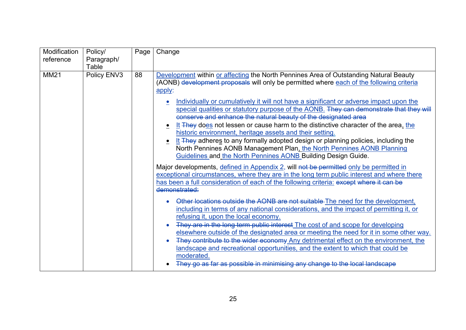| Modification | Policy/     | Page | Change                                                                                                                                                                                                                                                                                                                                                                                                                                                                                                                                                                                                                                                                                                                                                                                                                                                                                                                                                                                                                                                                                                                                                                                                                                                                                                                                                                                                                                          |
|--------------|-------------|------|-------------------------------------------------------------------------------------------------------------------------------------------------------------------------------------------------------------------------------------------------------------------------------------------------------------------------------------------------------------------------------------------------------------------------------------------------------------------------------------------------------------------------------------------------------------------------------------------------------------------------------------------------------------------------------------------------------------------------------------------------------------------------------------------------------------------------------------------------------------------------------------------------------------------------------------------------------------------------------------------------------------------------------------------------------------------------------------------------------------------------------------------------------------------------------------------------------------------------------------------------------------------------------------------------------------------------------------------------------------------------------------------------------------------------------------------------|
| reference    | Paragraph/  |      |                                                                                                                                                                                                                                                                                                                                                                                                                                                                                                                                                                                                                                                                                                                                                                                                                                                                                                                                                                                                                                                                                                                                                                                                                                                                                                                                                                                                                                                 |
|              | Table       |      |                                                                                                                                                                                                                                                                                                                                                                                                                                                                                                                                                                                                                                                                                                                                                                                                                                                                                                                                                                                                                                                                                                                                                                                                                                                                                                                                                                                                                                                 |
| <b>MM21</b>  | Policy ENV3 | 88   | Development within or affecting the North Pennines Area of Outstanding Natural Beauty<br>(AONB) development proposals will only be permitted where each of the following criteria<br>apply:<br>Individually or cumulatively it will not have a significant or adverse impact upon the<br>special qualities or statutory purpose of the AONB. They can demonstrate that they will<br>conserve and enhance the natural beauty of the designated area<br>It They does not lessen or cause harm to the distinctive character of the area, the<br>historic environment, heritage assets and their setting.<br>It They adheres to any formally adopted design or planning policies, including the<br>North Pennines AONB Management Plan, the North Pennines AONB Planning<br>Guidelines and the North Pennines AONB Building Design Guide.<br>Major developments, defined in Appendix 2, will not be permitted only be permitted in<br>exceptional circumstances, where they are in the long term public interest and where there<br>has been a full consideration of each of the following criteria: except where it can be<br>demonstrated:<br>Other locations outside the AONB are not suitable The need for the development,<br>including in terms of any national considerations, and the impact of permitting it, or<br>refusing it, upon the local economy.<br>They are in the long term public interest The cost of and scope for developing |
|              |             |      | elsewhere outside of the designated area or meeting the need for it in some other way.<br>They contribute to the wider economy Any detrimental effect on the environment, the                                                                                                                                                                                                                                                                                                                                                                                                                                                                                                                                                                                                                                                                                                                                                                                                                                                                                                                                                                                                                                                                                                                                                                                                                                                                   |
|              |             |      | landscape and recreational opportunities, and the extent to which that could be<br>moderated.                                                                                                                                                                                                                                                                                                                                                                                                                                                                                                                                                                                                                                                                                                                                                                                                                                                                                                                                                                                                                                                                                                                                                                                                                                                                                                                                                   |
|              |             |      | They go as far as possible in minimising any change to the local landscape                                                                                                                                                                                                                                                                                                                                                                                                                                                                                                                                                                                                                                                                                                                                                                                                                                                                                                                                                                                                                                                                                                                                                                                                                                                                                                                                                                      |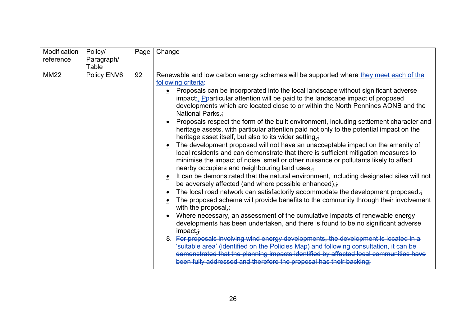| Modification | Policy/     | Page | Change                                                                                                                                                                                                                                                                                                                                                                                                                                                                                                                                                                                                                                                                                                                                                                                                                                                                                                                                                                                                                                                                                                                                                                                                                                                                                                                                                                                                                                                                                                                                                                                                                                                                                                                                                                                                                                                                                |
|--------------|-------------|------|---------------------------------------------------------------------------------------------------------------------------------------------------------------------------------------------------------------------------------------------------------------------------------------------------------------------------------------------------------------------------------------------------------------------------------------------------------------------------------------------------------------------------------------------------------------------------------------------------------------------------------------------------------------------------------------------------------------------------------------------------------------------------------------------------------------------------------------------------------------------------------------------------------------------------------------------------------------------------------------------------------------------------------------------------------------------------------------------------------------------------------------------------------------------------------------------------------------------------------------------------------------------------------------------------------------------------------------------------------------------------------------------------------------------------------------------------------------------------------------------------------------------------------------------------------------------------------------------------------------------------------------------------------------------------------------------------------------------------------------------------------------------------------------------------------------------------------------------------------------------------------------|
| reference    | Paragraph/  |      |                                                                                                                                                                                                                                                                                                                                                                                                                                                                                                                                                                                                                                                                                                                                                                                                                                                                                                                                                                                                                                                                                                                                                                                                                                                                                                                                                                                                                                                                                                                                                                                                                                                                                                                                                                                                                                                                                       |
|              | Table       |      |                                                                                                                                                                                                                                                                                                                                                                                                                                                                                                                                                                                                                                                                                                                                                                                                                                                                                                                                                                                                                                                                                                                                                                                                                                                                                                                                                                                                                                                                                                                                                                                                                                                                                                                                                                                                                                                                                       |
| <b>MM22</b>  | Policy ENV6 | 92   | Renewable and low carbon energy schemes will be supported where they meet each of the<br>following criteria:<br>• Proposals can be incorporated into the local landscape without significant adverse<br>impact <sub>i</sub> . Pparticular attention will be paid to the landscape impact of proposed<br>developments which are located close to or within the North Pennines AONB and the<br>National Parks.;<br>Proposals respect the form of the built environment, including settlement character and<br>heritage assets, with particular attention paid not only to the potential impact on the<br>heritage asset itself, but also to its wider setting.;<br>The development proposed will not have an unacceptable impact on the amenity of<br>local residents and can demonstrate that there is sufficient mitigation measures to<br>minimise the impact of noise, smell or other nuisance or pollutants likely to affect<br>nearby occupiers and neighbouring land uses.;<br>It can be demonstrated that the natural environment, including designated sites will not<br>be adversely affected (and where possible enhanced).;<br>The local road network can satisfactorily accommodate the development proposed.;<br>The proposed scheme will provide benefits to the community through their involvement<br>with the proposal. $\frac{1}{2}$<br>Where necessary, an assessment of the cumulative impacts of renewable energy<br>developments has been undertaken, and there is found to be no significant adverse<br>impact.<br>8. For proposals involving wind energy developments, the development is located in a<br>'suitable area' (identified on the Policies Map) and following consultation, it can be<br>demonstrated that the planning impacts identified by affected local communities have<br>been fully addressed and therefore the proposal has their backing; |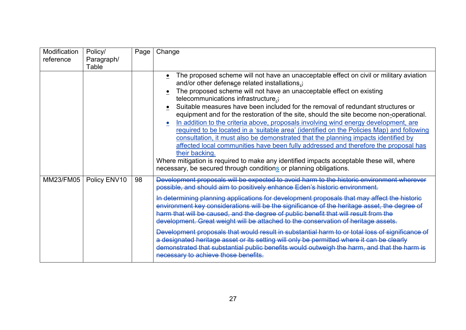| Modification<br>reference | Policy/<br>Paragraph/ | Page | Change                                                                                                                                                                                                                                                                                                                                                                                                                                                                                                                                                                                                                                                                                                                                                                                                                                                                                                                                                                                   |
|---------------------------|-----------------------|------|------------------------------------------------------------------------------------------------------------------------------------------------------------------------------------------------------------------------------------------------------------------------------------------------------------------------------------------------------------------------------------------------------------------------------------------------------------------------------------------------------------------------------------------------------------------------------------------------------------------------------------------------------------------------------------------------------------------------------------------------------------------------------------------------------------------------------------------------------------------------------------------------------------------------------------------------------------------------------------------|
|                           | Table                 |      |                                                                                                                                                                                                                                                                                                                                                                                                                                                                                                                                                                                                                                                                                                                                                                                                                                                                                                                                                                                          |
|                           |                       |      | The proposed scheme will not have an unacceptable effect on civil or military aviation<br>and/or other defensce related installations.;<br>The proposed scheme will not have an unacceptable effect on existing<br>telecommunications infrastructure.;<br>Suitable measures have been included for the removal of redundant structures or<br>equipment and for the restoration of the site, should the site become non-operational.<br>In addition to the criteria above, proposals involving wind energy development, are<br>required to be located in a 'suitable area' (identified on the Policies Map) and following<br>consultation, it must also be demonstrated that the planning impacts identified by<br>affected local communities have been fully addressed and therefore the proposal has<br>their backing.<br>Where mitigation is required to make any identified impacts acceptable these will, where<br>necessary, be secured through conditions or planning obligations. |
| <b>MM23/FM05</b>          | Policy ENV10          | 98   | Development proposals will be expected to avoid harm to the historic environment wherever<br>possible, and should aim to positively enhance Eden's historic environment.<br>In determining planning applications for development proposals that may affect the historic<br>environment key considerations will be the significance of the heritage asset, the degree of<br>harm that will be caused, and the degree of public benefit that will result from the<br>development. Great weight will be attached to the conservation of heritage assets.<br>Development proposals that would result in substantial harm to or total loss of significance of<br>a designated heritage asset or its setting will only be permitted where it can be clearly<br>demonstrated that substantial public benefits would outweigh the harm, and that the harm is<br>necessary to achieve those benefits.                                                                                             |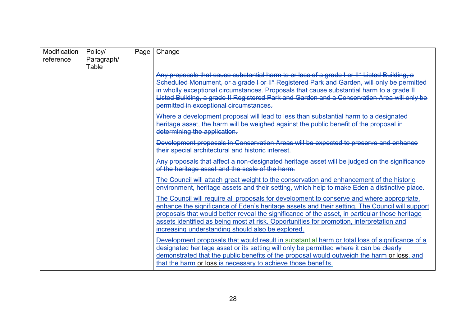| Modification<br>reference | Policy/<br>Paragraph/ | Page <sup>1</sup> | Change                                                                                                                                                                                                                                                                                                                                                                                                                                         |
|---------------------------|-----------------------|-------------------|------------------------------------------------------------------------------------------------------------------------------------------------------------------------------------------------------------------------------------------------------------------------------------------------------------------------------------------------------------------------------------------------------------------------------------------------|
|                           | Table                 |                   |                                                                                                                                                                                                                                                                                                                                                                                                                                                |
|                           |                       |                   | Any proposals that cause substantial harm to or loss of a grade I or II* Listed Building, a<br>Scheduled Monument, or a grade I or II* Registered Park and Garden, will only be permitted<br>in wholly exceptional circumstances. Proposals that cause substantial harm to a grade II<br>Listed Building, a grade II Registered Park and Garden and a Conservation Area will only be<br>permitted in exceptional circumstances.                |
|                           |                       |                   | Where a development proposal will lead to less than substantial harm to a designated<br>heritage asset, the harm will be weighed against the public benefit of the proposal in<br>determining the application.                                                                                                                                                                                                                                 |
|                           |                       |                   | Development proposals in Conservation Areas will be expected to preserve and enhance<br>their special architectural and historic interest.                                                                                                                                                                                                                                                                                                     |
|                           |                       |                   | Any proposals that affect a non-designated heritage asset will be judged on the significance<br>of the heritage asset and the scale of the harm.                                                                                                                                                                                                                                                                                               |
|                           |                       |                   | The Council will attach great weight to the conservation and enhancement of the historic<br>environment, heritage assets and their setting, which help to make Eden a distinctive place.                                                                                                                                                                                                                                                       |
|                           |                       |                   | The Council will require all proposals for development to conserve and where appropriate,<br>enhance the significance of Eden's heritage assets and their setting. The Council will support<br>proposals that would better reveal the significance of the asset, in particular those heritage<br>assets identified as being most at risk. Opportunities for promotion, interpretation and<br>increasing understanding should also be explored. |
|                           |                       |                   | Development proposals that would result in substantial harm or total loss of significance of a<br>designated heritage asset or its setting will only be permitted where it can be clearly<br>demonstrated that the public benefits of the proposal would outweigh the harm or loss, and<br>that the harm or loss is necessary to achieve those benefits.                                                                                       |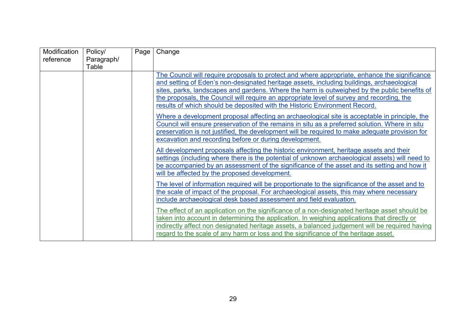| Modification | Policy/    | Page | Change                                                                                                                                                                                          |
|--------------|------------|------|-------------------------------------------------------------------------------------------------------------------------------------------------------------------------------------------------|
| reference    | Paragraph/ |      |                                                                                                                                                                                                 |
|              | Table      |      |                                                                                                                                                                                                 |
|              |            |      | The Council will require proposals to protect and where appropriate, enhance the significance                                                                                                   |
|              |            |      | and setting of Eden's non-designated heritage assets, including buildings, archaeological                                                                                                       |
|              |            |      | sites, parks, landscapes and gardens. Where the harm is outweighed by the public benefits of                                                                                                    |
|              |            |      | the proposals, the Council will require an appropriate level of survey and recording, the                                                                                                       |
|              |            |      | results of which should be deposited with the Historic Environment Record.                                                                                                                      |
|              |            |      | Where a development proposal affecting an archaeological site is acceptable in principle, the<br>Council will ensure preservation of the remains in situ as a preferred solution. Where in situ |
|              |            |      | preservation is not justified, the development will be required to make adequate provision for                                                                                                  |
|              |            |      | excavation and recording before or during development.                                                                                                                                          |
|              |            |      | All development proposals affecting the historic environment, heritage assets and their                                                                                                         |
|              |            |      | settings (including where there is the potential of unknown archaeological assets) will need to                                                                                                 |
|              |            |      | be accompanied by an assessment of the significance of the asset and its setting and how it<br>will be affected by the proposed development.                                                    |
|              |            |      |                                                                                                                                                                                                 |
|              |            |      | The level of information required will be proportionate to the significance of the asset and to                                                                                                 |
|              |            |      | the scale of impact of the proposal. For archaeological assets, this may where necessary                                                                                                        |
|              |            |      | include archaeological desk based assessment and field evaluation.                                                                                                                              |
|              |            |      | The effect of an application on the significance of a non-designated heritage asset should be                                                                                                   |
|              |            |      | taken into account in determining the application. In weighing applications that directly or                                                                                                    |
|              |            |      | indirectly affect non designated heritage assets, a balanced judgement will be required having                                                                                                  |
|              |            |      | regard to the scale of any harm or loss and the significance of the heritage asset.                                                                                                             |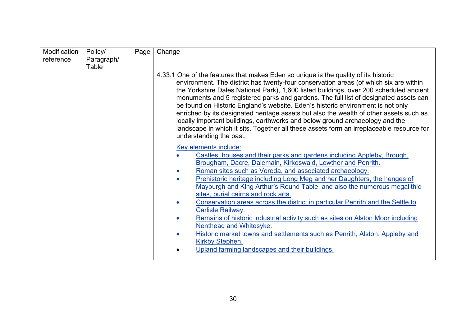| Modification | Policy/    | Page | Change                                                                                                                                                                                                                                                                                                                                                                                                                                                                                                                                                                                                                                                                                                                                                                                                 |
|--------------|------------|------|--------------------------------------------------------------------------------------------------------------------------------------------------------------------------------------------------------------------------------------------------------------------------------------------------------------------------------------------------------------------------------------------------------------------------------------------------------------------------------------------------------------------------------------------------------------------------------------------------------------------------------------------------------------------------------------------------------------------------------------------------------------------------------------------------------|
| reference    | Paragraph/ |      |                                                                                                                                                                                                                                                                                                                                                                                                                                                                                                                                                                                                                                                                                                                                                                                                        |
|              | Table      |      |                                                                                                                                                                                                                                                                                                                                                                                                                                                                                                                                                                                                                                                                                                                                                                                                        |
|              |            |      | 4.33.1 One of the features that makes Eden so unique is the quality of its historic<br>environment. The district has twenty-four conservation areas (of which six are within<br>the Yorkshire Dales National Park), 1,600 listed buildings, over 200 scheduled ancient<br>monuments and 5 registered parks and gardens. The full list of designated assets can<br>be found on Historic England's website. Eden's historic environment is not only<br>enriched by its designated heritage assets but also the wealth of other assets such as<br>locally important buildings, earthworks and below ground archaeology and the<br>landscape in which it sits. Together all these assets form an irreplaceable resource for<br>understanding the past.                                                     |
|              |            |      | Key elements include:<br>Castles, houses and their parks and gardens including Appleby, Brough,<br>Brougham, Dacre, Dalemain, Kirkoswald, Lowther and Penrith.<br>Roman sites such as Voreda, and associated archaeology.<br>Prehistoric heritage including Long Meg and her Daughters, the henges of<br>Mayburgh and King Arthur's Round Table, and also the numerous megalithic<br>sites, burial cairns and rock arts.<br>Conservation areas across the district in particular Penrith and the Settle to<br><b>Carlisle Railway.</b><br>Remains of historic industrial activity such as sites on Alston Moor including<br>Nenthead and Whitesyke.<br>Historic market towns and settlements such as Penrith, Alston, Appleby and<br>Kirkby Stephen.<br>Upland farming landscapes and their buildings. |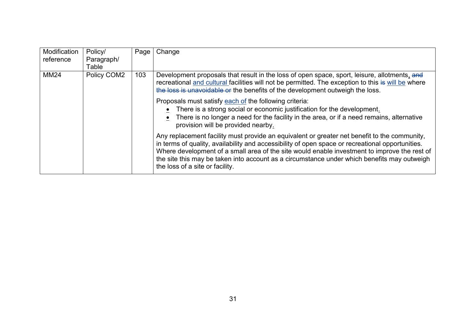| Modification | Policy/     | Page | Change                                                                                                                                                                                                                                                                                                                                                                                                                             |
|--------------|-------------|------|------------------------------------------------------------------------------------------------------------------------------------------------------------------------------------------------------------------------------------------------------------------------------------------------------------------------------------------------------------------------------------------------------------------------------------|
| reference    | Paragraph/  |      |                                                                                                                                                                                                                                                                                                                                                                                                                                    |
|              | Table       |      |                                                                                                                                                                                                                                                                                                                                                                                                                                    |
| <b>MM24</b>  | Policy COM2 | 103  | Development proposals that result in the loss of open space, sport, leisure, allotments, and<br>recreational and cultural facilities will not be permitted. The exception to this is will be where<br>the loss is unavoidable or the benefits of the development outweigh the loss.                                                                                                                                                |
|              |             |      | Proposals must satisfy each of the following criteria:<br>There is a strong social or economic justification for the development.<br>There is no longer a need for the facility in the area, or if a need remains, alternative<br>provision will be provided nearby.                                                                                                                                                               |
|              |             |      | Any replacement facility must provide an equivalent or greater net benefit to the community,<br>in terms of quality, availability and accessibility of open space or recreational opportunities.<br>Where development of a small area of the site would enable investment to improve the rest of<br>the site this may be taken into account as a circumstance under which benefits may outweigh<br>the loss of a site or facility. |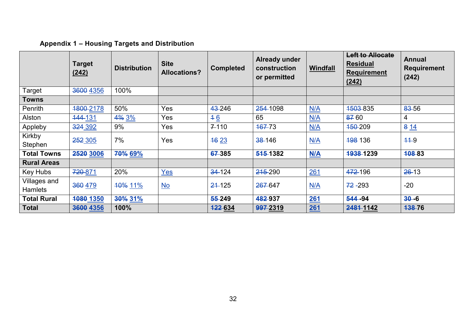# **Appendix 1 – Housing Targets and Distribution**

<span id="page-31-0"></span>

|                                | <b>Target</b><br>(242) | <b>Distribution</b> | <b>Site</b><br><b>Allocations?</b> | <b>Completed</b> | <b>Already under</b><br>construction<br>or permitted | Windfall   | <b>Left to Allocate</b><br><b>Residual</b><br><b>Requirement</b><br>(242) | <b>Annual</b><br><b>Requirement</b><br>(242) |
|--------------------------------|------------------------|---------------------|------------------------------------|------------------|------------------------------------------------------|------------|---------------------------------------------------------------------------|----------------------------------------------|
| Target                         | 3600 4356              | 100%                |                                    |                  |                                                      |            |                                                                           |                                              |
| <b>Towns</b>                   |                        |                     |                                    |                  |                                                      |            |                                                                           |                                              |
| Penrith                        | 4800-2178              | 50%                 | Yes                                | 43-246           | 254-1098                                             | N/A        | 1503-835                                                                  | 83-56                                        |
| Alston                         | 144-131                | 4% 3%               | Yes                                | 46               | 65                                                   | N/A        | 8760                                                                      | 4                                            |
| Appleby                        | 324 392                | 9%                  | Yes                                | $7 - 110$        | 167-73                                               | N/A        | <del>150</del> -209                                                       | 814                                          |
| Kirkby<br>Stephen              | 252 305                | 7%                  | Yes                                | 46 23            | 38-146                                               | N/A        | 198 136                                                                   | $11-9$                                       |
| <b>Total Towns</b>             | 2520 3006              | 70% 69%             |                                    | 67-385           | 515-1382                                             | M/A        | 1938-1239                                                                 | 108-83                                       |
| <b>Rural Areas</b>             |                        |                     |                                    |                  |                                                      |            |                                                                           |                                              |
| Key Hubs                       | 720-871                | 20%                 | Yes                                | 34-124           | 215-290                                              | 261        | 472-196                                                                   | $26-13$                                      |
| Villages and<br><b>Hamlets</b> | 360 479                | 10% 11%             | $\underline{\mathsf{No}}$          | 21-125           | 267-647                                              | N/A        | $72 - 293$                                                                | $-20$                                        |
| <b>Total Rural</b>             | 1080 1350              | 30% 31%             |                                    | 55-249           | 482-937                                              | <b>261</b> | 544 - 94                                                                  | $30 - 6$                                     |
| <b>Total</b>                   | 3600 4356              | 100%                |                                    | <b>422634</b>    | 997-2319                                             | 261        | 2481-1142                                                                 | <b>438-76</b>                                |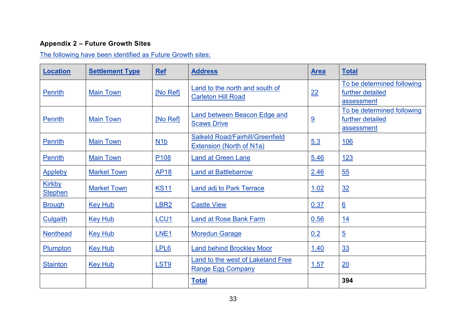## **Appendix 2 – Future Growth Sites**

The following have been identified as Future Growth sites:

<span id="page-32-0"></span>

| <b>Location</b>                 | <b>Settlement Type</b> | <b>Ref</b>       | <b>Address</b>                                                             | <u>Area</u> | <b>Total</b>                                                 |
|---------------------------------|------------------------|------------------|----------------------------------------------------------------------------|-------------|--------------------------------------------------------------|
| <b>Penrith</b>                  | <b>Main Town</b>       | [No Ref]         | Land to the north and south of<br><b>Carleton Hill Road</b>                | 22          | To be determined following<br>further detailed<br>assessment |
| <b>Penrith</b>                  | <b>Main Town</b>       | [No Ref]         | <b>Land between Beacon Edge and</b><br><b>Scaws Drive</b>                  | 9           | To be determined following<br>further detailed<br>assessment |
| <b>Penrith</b>                  | <b>Main Town</b>       | N1b              | <b>Salkeld Road/Fairhill/Greenfield</b><br><b>Extension (North of N1a)</b> | 5.3         | <u>106</u>                                                   |
| <b>Penrith</b>                  | <b>Main Town</b>       | P <sub>108</sub> | <b>Land at Green Lane</b>                                                  | 5.46        | <u>123</u>                                                   |
| <b>Appleby</b>                  | <b>Market Town</b>     | <b>AP18</b>      | <b>Land at Battlebarrow</b>                                                | 2.46        | 55                                                           |
| <b>Kirkby</b><br><b>Stephen</b> | <b>Market Town</b>     | <b>KS11</b>      | <b>Land adj to Park Terrace</b>                                            | 1.02        | 32                                                           |
| <b>Brough</b>                   | <b>Key Hub</b>         | LBR <sub>2</sub> | <b>Castle View</b>                                                         | 0.37        | $\underline{6}$                                              |
| <b>Culgaith</b>                 | <b>Key Hub</b>         | LCU <sub>1</sub> | <b>Land at Rose Bank Farm</b>                                              | 0.56        | <u>14</u>                                                    |
| <b>Nenthead</b>                 | <b>Key Hub</b>         | LNE <sub>1</sub> | <b>Moredun Garage</b>                                                      | 0.2         | $\overline{5}$                                               |
| <b>Plumpton</b>                 | <b>Key Hub</b>         | LPL6             | <b>Land behind Brockley Moor</b>                                           | 1.40        | <u>33</u>                                                    |
| <b>Stainton</b>                 | <b>Key Hub</b>         | LST <sub>9</sub> | Land to the west of Lakeland Free<br><b>Range Egg Company</b>              | 1.57        | 20                                                           |
|                                 |                        |                  | <b>Total</b>                                                               |             | 394                                                          |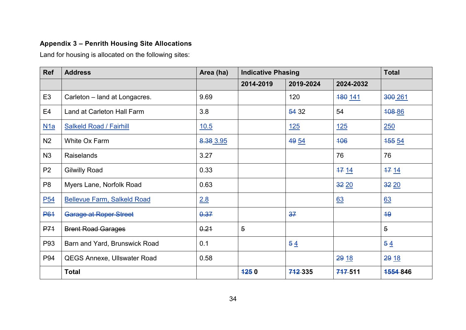## **Appendix 3 – Penrith Housing Site Allocations**

Land for housing is allocated on the following sites:

<span id="page-33-0"></span>

| <b>Ref</b>      | <b>Address</b>                     | Area (ha) | <b>Indicative Phasing</b> |            |            | <b>Total</b>   |
|-----------------|------------------------------------|-----------|---------------------------|------------|------------|----------------|
|                 |                                    |           | 2014-2019                 | 2019-2024  | 2024-2032  |                |
| E <sub>3</sub>  | Carleton - land at Longacres.      | 9.69      |                           | 120        | 180 141    | 300 261        |
| E <sub>4</sub>  | Land at Carleton Hall Farm         | 3.8       |                           | 54 32      | 54         | 408-86         |
| N1a             | <b>Salkeld Road / Fairhill</b>     | 10.5      |                           | <u>125</u> | <u>125</u> | 250            |
| N <sub>2</sub>  | White Ox Farm                      | 8.38 3.95 |                           | 49 54      | 406        | <b>455 54</b>  |
| N3              | <b>Raiselands</b>                  | 3.27      |                           |            | 76         | 76             |
| P <sub>2</sub>  | <b>Gilwilly Road</b>               | 0.33      |                           |            | 1714       | 1714           |
| P <sub>8</sub>  | Myers Lane, Norfolk Road           | 0.63      |                           |            | 3220       | 32 20          |
| P <sub>54</sub> | <b>Bellevue Farm, Salkeld Road</b> | 2.8       |                           |            | 63         | 63             |
| <b>P61</b>      | Garage at Roper Street             | 0.37      |                           | 37         |            | 49             |
| <b>P71</b>      | <b>Brent Road Garages</b>          | 0.21      | $\overline{5}$            |            |            | $\overline{5}$ |
| P93             | Barn and Yard, Brunswick Road      | 0.1       |                           | 54         |            | 54             |
| P94             | <b>QEGS Annexe, Ullswater Road</b> | 0.58      |                           |            | 29 18      | 29 18          |
|                 | <b>Total</b>                       |           | 1250                      | 742335     | 747-511    | 1554 846       |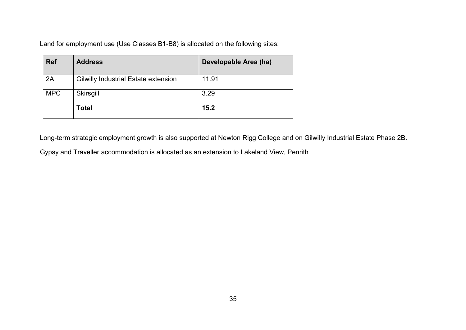Land for employment use (Use Classes B1-B8) is allocated on the following sites:

| <b>Ref</b> | <b>Address</b>                       | Developable Area (ha) |
|------------|--------------------------------------|-----------------------|
| 2A         | Gilwilly Industrial Estate extension | 11.91                 |
| <b>MPC</b> | Skirsgill                            | 3.29                  |
|            | Total                                | 15.2                  |

Long-term strategic employment growth is also supported at Newton Rigg College and on Gilwilly Industrial Estate Phase 2B.

Gypsy and Traveller accommodation is allocated as an extension to Lakeland View, Penrith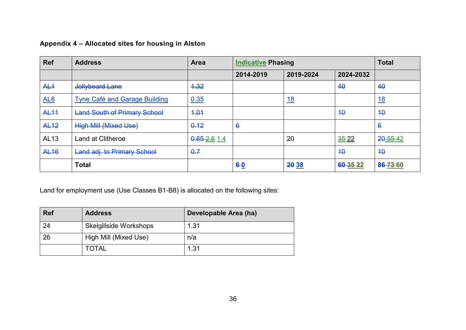#### **Appendix 4 – Allocated sites for housing in Alston**

| <b>Ref</b>      | <b>Address</b>                       | <b>Area</b> | <b>Indicative Phasing</b> |            |           | <b>Total</b>    |
|-----------------|--------------------------------------|-------------|---------------------------|------------|-----------|-----------------|
|                 |                                      |             | 2014-2019                 | 2019-2024  | 2024-2032 |                 |
| AL <sub>1</sub> | Jollybeard Lane                      | 4.32        |                           |            | 40        | 40              |
| AL <sub>8</sub> | <b>Tyne Café and Garage Building</b> | 0.35        |                           | <u> 18</u> |           | <u>18</u>       |
| <b>AL11</b>     | <b>Land South of Primary School</b>  | 4.04        |                           |            | 40        | 40              |
| <b>AL12</b>     | <b>High Mill (Mixed Use)</b>         | 0.12        | $\ddot{\theta}$           |            |           | $\ddot{\theta}$ |
| AL13            | <b>Land at Clitheroe</b>             | 0.652.61.4  |                           | 20         | 3522      | 20-55-42        |
| <b>AL16</b>     | Land adj. to Primary School          | 0.7         |                           |            | 40        | 40              |
|                 | <b>Total</b>                         |             | $6-0$                     | 20 38      | 60-35-22  | 86-73-60        |

<span id="page-35-0"></span>

| <b>Ref</b> | <b>Address</b>         | Developable Area (ha) |
|------------|------------------------|-----------------------|
| 24         | Skelgillside Workshops | 1.31                  |
| 26         | High Mill (Mixed Use)  | n/a                   |
|            | <b>TOTAL</b>           | 1.31                  |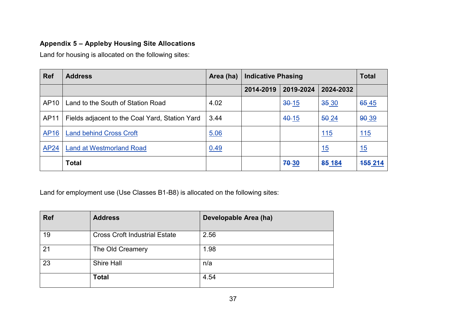#### **Appendix 5 – Appleby Housing Site Allocations**

Land for housing is allocated on the following sites:

| <b>Ref</b>  | <b>Address</b>                                 | Area (ha) | <b>Indicative Phasing</b> |           |             | <b>Total</b>   |
|-------------|------------------------------------------------|-----------|---------------------------|-----------|-------------|----------------|
|             |                                                |           | 2014-2019                 | 2019-2024 | 2024-2032   |                |
| AP10        | Land to the South of Station Road              | 4.02      |                           | $30-15$   | 35 30       | 65 45          |
| AP11        | Fields adjacent to the Coal Yard, Station Yard | 3.44      |                           | $40 - 15$ | 50 24       | 90 39          |
| <b>AP16</b> | <b>Land behind Cross Croft</b>                 | 5.06      |                           |           | <u> 115</u> | <u>115</u>     |
| <b>AP24</b> | <b>Land at Westmorland Road</b>                | 0.49      |                           |           | 15          | 15             |
|             | <b>Total</b>                                   |           |                           | 70-30     | 85 184      | <b>455 214</b> |

<span id="page-36-0"></span>

| <b>Ref</b> | <b>Address</b>                       | Developable Area (ha) |
|------------|--------------------------------------|-----------------------|
| 19         | <b>Cross Croft Industrial Estate</b> | 2.56                  |
| 21         | The Old Creamery                     | 1.98                  |
| 23         | Shire Hall                           | n/a                   |
|            | <b>Total</b>                         | 4.54                  |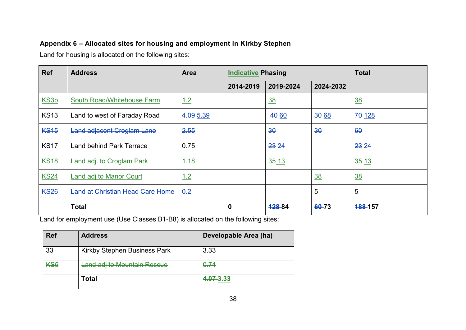#### **Appendix 6 – Allocated sites for housing and employment in Kirkby Stephen**

Land for housing is allocated on the following sites:

| <b>Ref</b>  | <b>Address</b>                          | <b>Area</b>     | <b>Indicative Phasing</b> |                |                | <b>Total</b>   |
|-------------|-----------------------------------------|-----------------|---------------------------|----------------|----------------|----------------|
|             |                                         |                 | 2014-2019                 | 2019-2024      | 2024-2032      |                |
| <b>KS3b</b> | South Road/Whitehouse Farm              | $\frac{4.2}{5}$ |                           | $\frac{38}{5}$ |                | $\frac{38}{5}$ |
| <b>KS13</b> | Land to west of Faraday Road            | 4.09-5.39       |                           | $-40-60$       | $30 - 68$      | 70-128         |
| <b>KS15</b> | <b>Land adjacent Croglam Lane</b>       | 2.55            |                           | 30             | 30             | 60             |
| <b>KS17</b> | <b>Land behind Park Terrace</b>         | 0.75            |                           | 23 24          |                | 23 24          |
| <b>KS18</b> | Land adj. to Croglam Park               | 4.18            |                           | $35 - 13$      |                | $35 - 13$      |
| <b>KS24</b> | Land adj to Manor Court                 | $\frac{4.2}{5}$ |                           |                | $\frac{38}{5}$ | $\frac{38}{5}$ |
| <b>KS26</b> | <b>Land at Christian Head Care Home</b> | 0.2             |                           |                | $\overline{5}$ | 5              |
|             | <b>Total</b>                            |                 | 0                         | <b>12884</b>   | 60-73          | <b>488-157</b> |

<span id="page-37-0"></span>

| <b>Ref</b> | <b>Address</b>               | Developable Area (ha) |
|------------|------------------------------|-----------------------|
| 33         | Kirkby Stephen Business Park | 3.33                  |
| <u>KS5</u> | Land adj to Mountain Rescue  | <u>0.74</u>           |
|            | Total                        | 4.07 3.33             |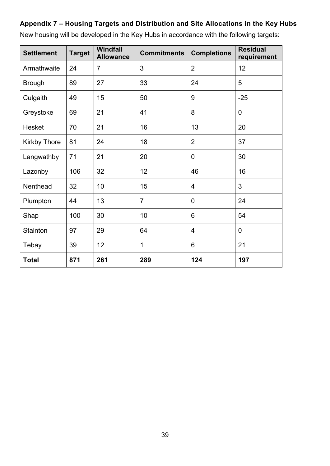#### <span id="page-38-0"></span>**Appendix 7 – Housing Targets and Distribution and Site Allocations in the Key Hubs**

| <b>Settlement</b>   | <b>Target</b> | <b>Windfall</b><br><b>Allowance</b> | <b>Commitments</b> | <b>Completions</b> | <b>Residual</b><br>requirement |
|---------------------|---------------|-------------------------------------|--------------------|--------------------|--------------------------------|
| Armathwaite         | 24            | $\overline{7}$                      | 3                  | $\overline{2}$     | 12                             |
| <b>Brough</b>       | 89            | 27                                  | 33                 | 24                 | 5                              |
| Culgaith            | 49            | 15                                  | 50                 | 9                  | $-25$                          |
| Greystoke           | 69            | 21                                  | 41                 | 8                  | $\overline{0}$                 |
| <b>Hesket</b>       | 70            | 21                                  | 16                 | 13                 | 20                             |
| <b>Kirkby Thore</b> | 81            | 24                                  | 18                 | $\overline{2}$     | 37                             |
| Langwathby          | 71            | 21                                  | 20                 | 0                  | 30                             |
| Lazonby             | 106           | 32                                  | 12                 | 46                 | 16                             |
| Nenthead            | 32            | 10                                  | 15                 | 4                  | 3                              |
| Plumpton            | 44            | 13                                  | $\overline{7}$     | 0                  | 24                             |
| Shap                | 100           | 30                                  | 10                 | 6                  | 54                             |
| Stainton            | 97            | 29                                  | 64                 | $\overline{4}$     | $\overline{0}$                 |
| Tebay               | 39            | 12                                  | 1                  | 6                  | 21                             |
| <b>Total</b>        | 871           | 261                                 | 289                | 124                | 197                            |

New housing will be developed in the Key Hubs in accordance with the following targets: